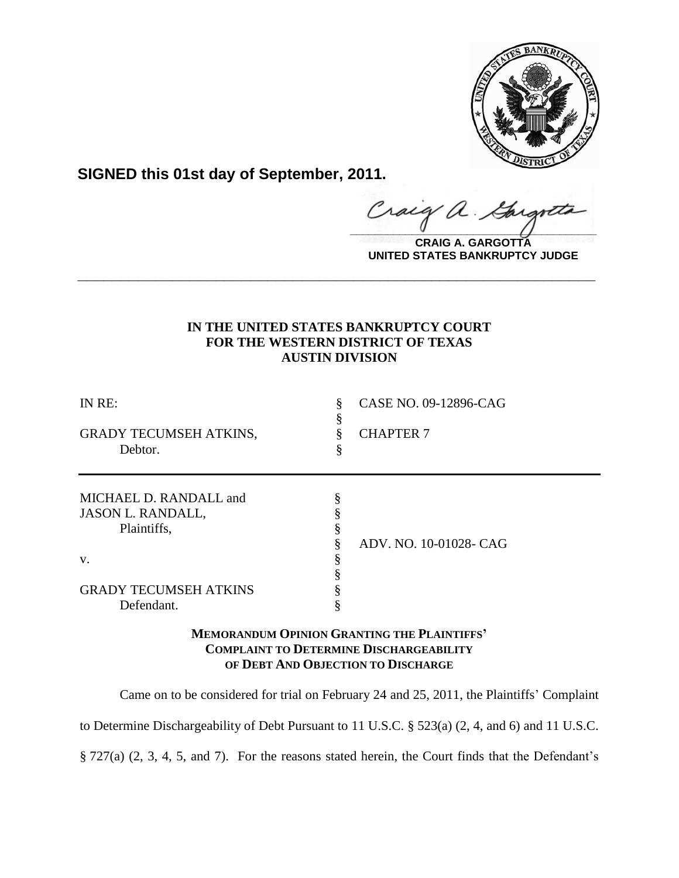

**SIGNED this 01st day of September, 2011.**

**\_\_\_\_\_\_\_\_\_\_\_\_\_\_\_\_\_\_\_\_\_\_\_\_\_\_\_\_\_\_\_\_\_\_\_\_\_\_\_\_** Gar

**CRAIG A. GARGOTTA UNITED STATES BANKRUPTCY JUDGE**

# **IN THE UNITED STATES BANKRUPTCY COURT FOR THE WESTERN DISTRICT OF TEXAS AUSTIN DIVISION**

**\_\_\_\_\_\_\_\_\_\_\_\_\_\_\_\_\_\_\_\_\_\_\_\_\_\_\_\_\_\_\_\_\_\_\_\_\_\_\_\_\_\_\_\_\_\_\_\_\_\_\_\_\_\_\_\_\_\_\_\_**

| IN RE:<br>GRADY TECUMSEH ATKINS,<br>Debtor.                                                                           | CASE NO. 09-12896-CAG<br>§<br>ş<br><b>CHAPTER 7</b><br>\$ |
|-----------------------------------------------------------------------------------------------------------------------|-----------------------------------------------------------|
| MICHAEL D. RANDALL and<br><b>JASON L. RANDALL,</b><br>Plaintiffs,<br>V.<br><b>GRADY TECUMSEH ATKINS</b><br>Defendant. | ADV. NO. 10-01028- CAG                                    |

# **MEMORANDUM OPINION GRANTING THE PLAINTIFFS' COMPLAINT TO DETERMINE DISCHARGEABILITY OF DEBT AND OBJECTION TO DISCHARGE**

Came on to be considered for trial on February 24 and 25, 2011, the Plaintiffs' Complaint

to Determine Dischargeability of Debt Pursuant to 11 U.S.C. § 523(a) (2, 4, and 6) and 11 U.S.C.

§ 727(a) (2, 3, 4, 5, and 7). For the reasons stated herein, the Court finds that the Defendant's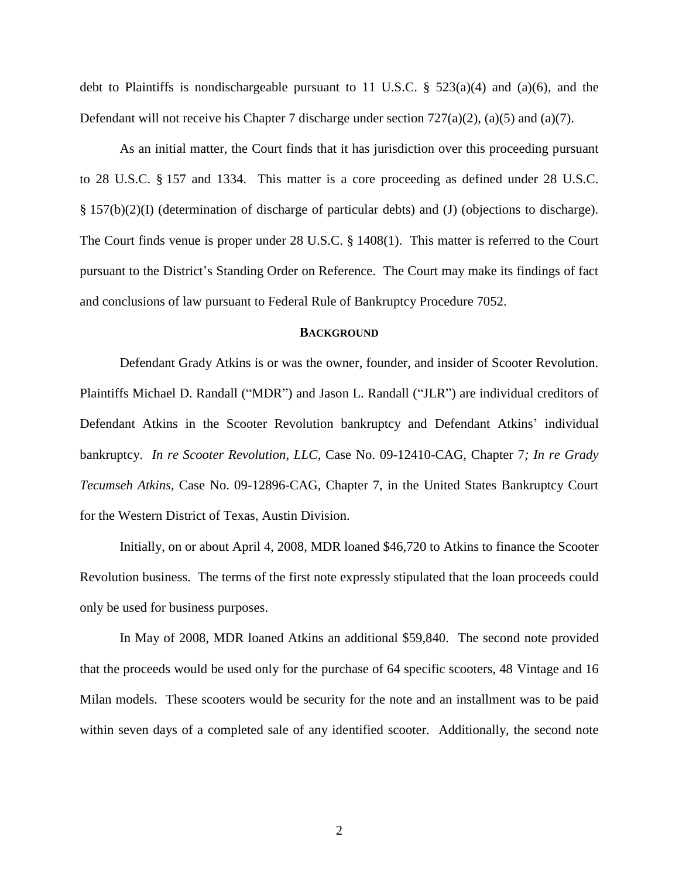debt to Plaintiffs is nondischargeable pursuant to 11 U.S.C.  $\S$  523(a)(4) and (a)(6), and the Defendant will not receive his Chapter 7 discharge under section 727(a)(2), (a)(5) and (a)(7).

As an initial matter, the Court finds that it has jurisdiction over this proceeding pursuant to 28 U.S.C. § 157 and 1334. This matter is a core proceeding as defined under 28 U.S.C. § 157(b)(2)(I) (determination of discharge of particular debts) and (J) (objections to discharge). The Court finds venue is proper under 28 U.S.C. § 1408(1). This matter is referred to the Court pursuant to the District's Standing Order on Reference. The Court may make its findings of fact and conclusions of law pursuant to Federal Rule of Bankruptcy Procedure 7052.

## **BACKGROUND**

Defendant Grady Atkins is or was the owner, founder, and insider of Scooter Revolution. Plaintiffs Michael D. Randall ("MDR") and Jason L. Randall ("JLR") are individual creditors of Defendant Atkins in the Scooter Revolution bankruptcy and Defendant Atkins' individual bankruptcy. *In re Scooter Revolution, LLC*, Case No. 09-12410-CAG, Chapter 7*; In re Grady Tecumseh Atkins*, Case No. 09-12896-CAG, Chapter 7, in the United States Bankruptcy Court for the Western District of Texas, Austin Division.

Initially, on or about April 4, 2008, MDR loaned \$46,720 to Atkins to finance the Scooter Revolution business. The terms of the first note expressly stipulated that the loan proceeds could only be used for business purposes.

In May of 2008, MDR loaned Atkins an additional \$59,840. The second note provided that the proceeds would be used only for the purchase of 64 specific scooters, 48 Vintage and 16 Milan models. These scooters would be security for the note and an installment was to be paid within seven days of a completed sale of any identified scooter. Additionally, the second note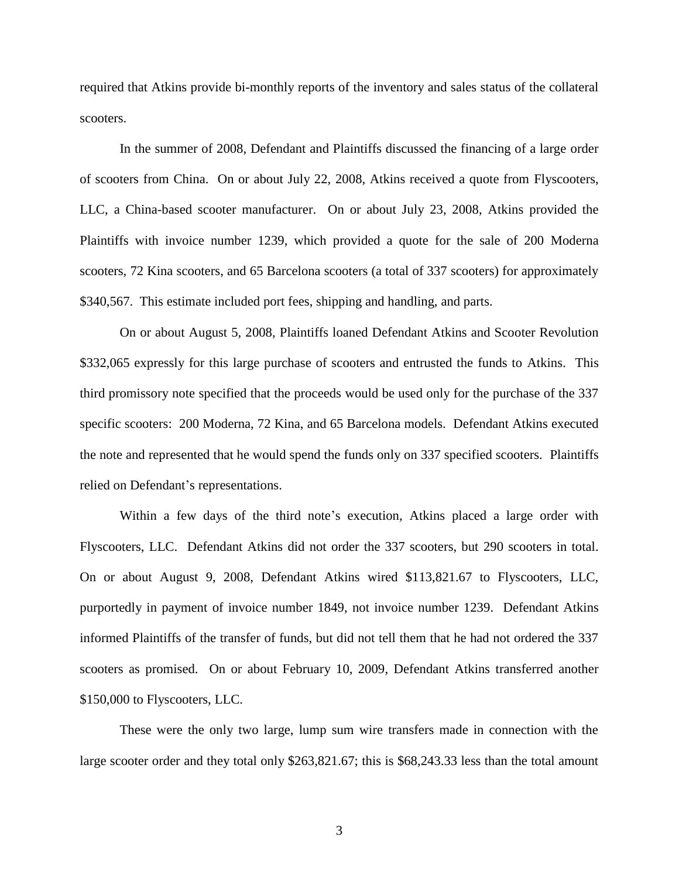required that Atkins provide bi-monthly reports of the inventory and sales status of the collateral scooters.

In the summer of 2008, Defendant and Plaintiffs discussed the financing of a large order of scooters from China. On or about July 22, 2008, Atkins received a quote from Flyscooters, LLC, a China-based scooter manufacturer. On or about July 23, 2008, Atkins provided the Plaintiffs with invoice number 1239, which provided a quote for the sale of 200 Moderna scooters, 72 Kina scooters, and 65 Barcelona scooters (a total of 337 scooters) for approximately \$340,567. This estimate included port fees, shipping and handling, and parts.

On or about August 5, 2008, Plaintiffs loaned Defendant Atkins and Scooter Revolution \$332,065 expressly for this large purchase of scooters and entrusted the funds to Atkins. This third promissory note specified that the proceeds would be used only for the purchase of the 337 specific scooters: 200 Moderna, 72 Kina, and 65 Barcelona models. Defendant Atkins executed the note and represented that he would spend the funds only on 337 specified scooters. Plaintiffs relied on Defendant's representations.

Within a few days of the third note's execution, Atkins placed a large order with Flyscooters, LLC. Defendant Atkins did not order the 337 scooters, but 290 scooters in total. On or about August 9, 2008, Defendant Atkins wired \$113,821.67 to Flyscooters, LLC, purportedly in payment of invoice number 1849, not invoice number 1239. Defendant Atkins informed Plaintiffs of the transfer of funds, but did not tell them that he had not ordered the 337 scooters as promised. On or about February 10, 2009, Defendant Atkins transferred another \$150,000 to Flyscooters, LLC.

These were the only two large, lump sum wire transfers made in connection with the large scooter order and they total only \$263,821.67; this is \$68,243.33 less than the total amount

3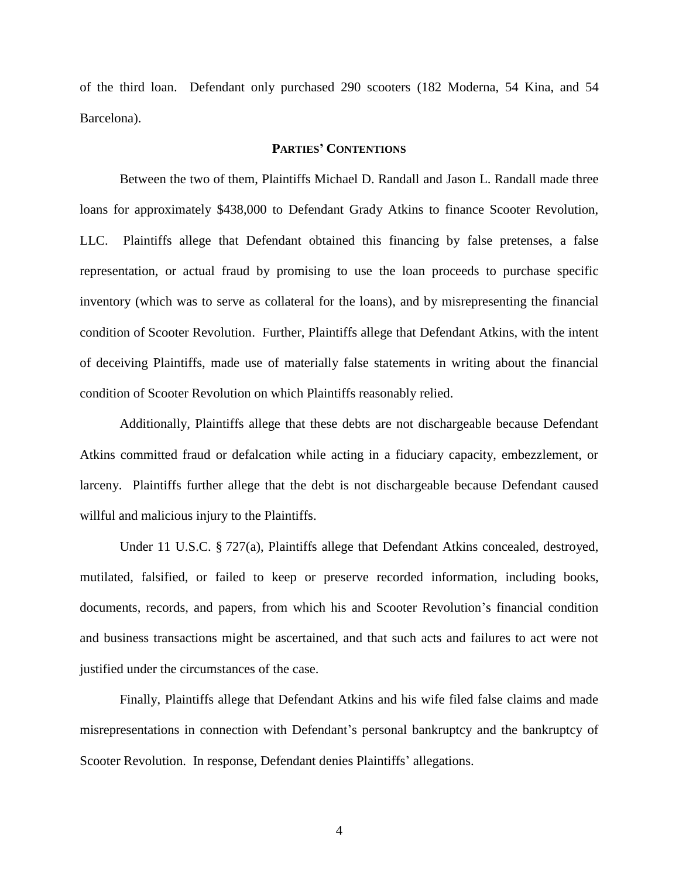of the third loan. Defendant only purchased 290 scooters (182 Moderna, 54 Kina, and 54 Barcelona).

## **PARTIES' CONTENTIONS**

Between the two of them, Plaintiffs Michael D. Randall and Jason L. Randall made three loans for approximately \$438,000 to Defendant Grady Atkins to finance Scooter Revolution, LLC. Plaintiffs allege that Defendant obtained this financing by false pretenses, a false representation, or actual fraud by promising to use the loan proceeds to purchase specific inventory (which was to serve as collateral for the loans), and by misrepresenting the financial condition of Scooter Revolution. Further, Plaintiffs allege that Defendant Atkins, with the intent of deceiving Plaintiffs, made use of materially false statements in writing about the financial condition of Scooter Revolution on which Plaintiffs reasonably relied.

Additionally, Plaintiffs allege that these debts are not dischargeable because Defendant Atkins committed fraud or defalcation while acting in a fiduciary capacity, embezzlement, or larceny. Plaintiffs further allege that the debt is not dischargeable because Defendant caused willful and malicious injury to the Plaintiffs.

Under 11 U.S.C. § 727(a), Plaintiffs allege that Defendant Atkins concealed, destroyed, mutilated, falsified, or failed to keep or preserve recorded information, including books, documents, records, and papers, from which his and Scooter Revolution's financial condition and business transactions might be ascertained, and that such acts and failures to act were not justified under the circumstances of the case.

Finally, Plaintiffs allege that Defendant Atkins and his wife filed false claims and made misrepresentations in connection with Defendant's personal bankruptcy and the bankruptcy of Scooter Revolution. In response, Defendant denies Plaintiffs' allegations.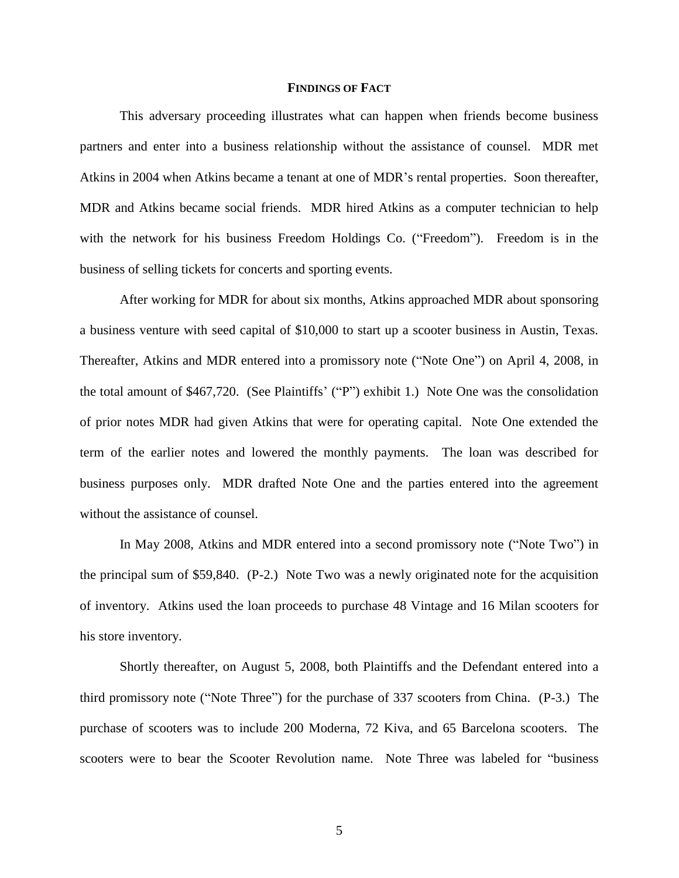### **FINDINGS OF FACT**

This adversary proceeding illustrates what can happen when friends become business partners and enter into a business relationship without the assistance of counsel. MDR met Atkins in 2004 when Atkins became a tenant at one of MDR's rental properties. Soon thereafter, MDR and Atkins became social friends. MDR hired Atkins as a computer technician to help with the network for his business Freedom Holdings Co. ("Freedom"). Freedom is in the business of selling tickets for concerts and sporting events.

After working for MDR for about six months, Atkins approached MDR about sponsoring a business venture with seed capital of \$10,000 to start up a scooter business in Austin, Texas. Thereafter, Atkins and MDR entered into a promissory note ("Note One") on April 4, 2008, in the total amount of \$467,720. (See Plaintiffs' ("P") exhibit 1.) Note One was the consolidation of prior notes MDR had given Atkins that were for operating capital. Note One extended the term of the earlier notes and lowered the monthly payments. The loan was described for business purposes only. MDR drafted Note One and the parties entered into the agreement without the assistance of counsel.

In May 2008, Atkins and MDR entered into a second promissory note ("Note Two") in the principal sum of \$59,840. (P-2.) Note Two was a newly originated note for the acquisition of inventory. Atkins used the loan proceeds to purchase 48 Vintage and 16 Milan scooters for his store inventory.

Shortly thereafter, on August 5, 2008, both Plaintiffs and the Defendant entered into a third promissory note ("Note Three") for the purchase of 337 scooters from China. (P-3.) The purchase of scooters was to include 200 Moderna, 72 Kiva, and 65 Barcelona scooters. The scooters were to bear the Scooter Revolution name. Note Three was labeled for "business"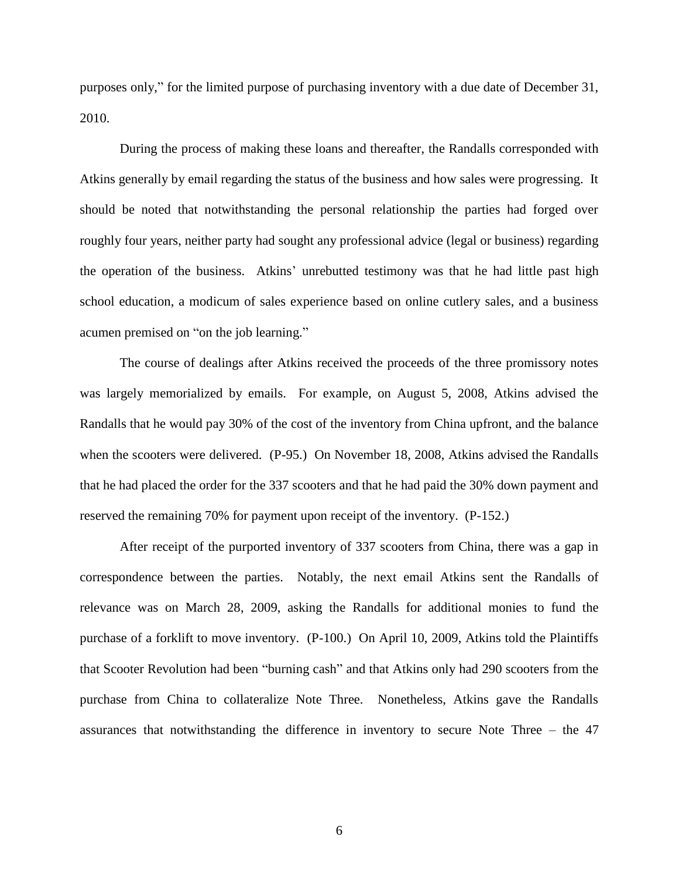purposes only," for the limited purpose of purchasing inventory with a due date of December 31, 2010.

During the process of making these loans and thereafter, the Randalls corresponded with Atkins generally by email regarding the status of the business and how sales were progressing. It should be noted that notwithstanding the personal relationship the parties had forged over roughly four years, neither party had sought any professional advice (legal or business) regarding the operation of the business. Atkins' unrebutted testimony was that he had little past high school education, a modicum of sales experience based on online cutlery sales, and a business acumen premised on "on the job learning."

The course of dealings after Atkins received the proceeds of the three promissory notes was largely memorialized by emails. For example, on August 5, 2008, Atkins advised the Randalls that he would pay 30% of the cost of the inventory from China upfront, and the balance when the scooters were delivered. (P-95.) On November 18, 2008, Atkins advised the Randalls that he had placed the order for the 337 scooters and that he had paid the 30% down payment and reserved the remaining 70% for payment upon receipt of the inventory. (P-152.)

After receipt of the purported inventory of 337 scooters from China, there was a gap in correspondence between the parties. Notably, the next email Atkins sent the Randalls of relevance was on March 28, 2009, asking the Randalls for additional monies to fund the purchase of a forklift to move inventory. (P-100.) On April 10, 2009, Atkins told the Plaintiffs that Scooter Revolution had been "burning cash" and that Atkins only had 290 scooters from the purchase from China to collateralize Note Three. Nonetheless, Atkins gave the Randalls assurances that notwithstanding the difference in inventory to secure Note Three – the 47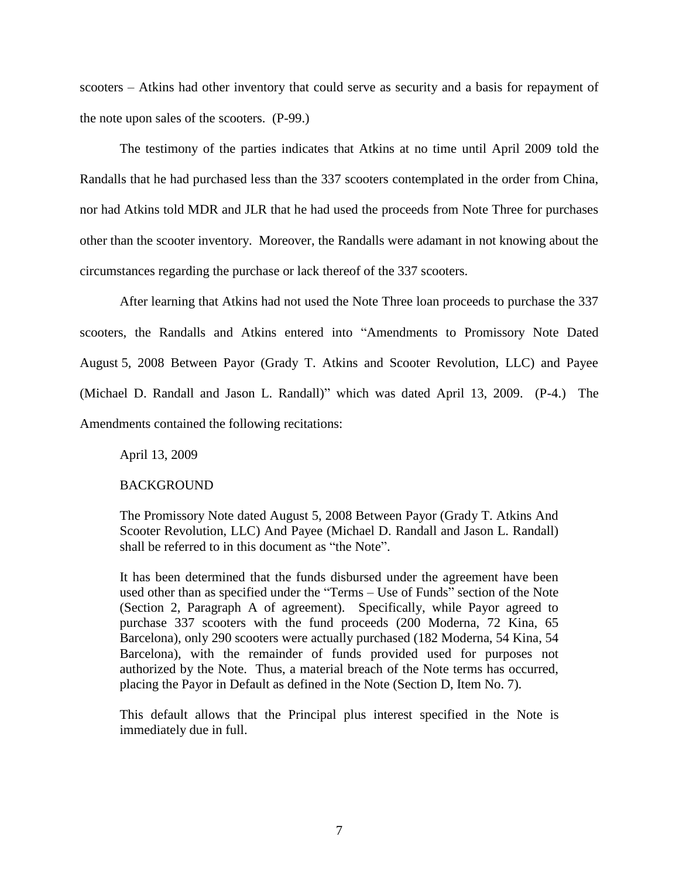scooters – Atkins had other inventory that could serve as security and a basis for repayment of the note upon sales of the scooters. (P-99.)

The testimony of the parties indicates that Atkins at no time until April 2009 told the Randalls that he had purchased less than the 337 scooters contemplated in the order from China, nor had Atkins told MDR and JLR that he had used the proceeds from Note Three for purchases other than the scooter inventory. Moreover, the Randalls were adamant in not knowing about the circumstances regarding the purchase or lack thereof of the 337 scooters.

After learning that Atkins had not used the Note Three loan proceeds to purchase the 337 scooters, the Randalls and Atkins entered into "Amendments to Promissory Note Dated August 5, 2008 Between Payor (Grady T. Atkins and Scooter Revolution, LLC) and Payee (Michael D. Randall and Jason L. Randall)" which was dated April 13, 2009. (P-4.) The Amendments contained the following recitations:

April 13, 2009

## BACKGROUND

The Promissory Note dated August 5, 2008 Between Payor (Grady T. Atkins And Scooter Revolution, LLC) And Payee (Michael D. Randall and Jason L. Randall) shall be referred to in this document as "the Note".

It has been determined that the funds disbursed under the agreement have been used other than as specified under the "Terms – Use of Funds" section of the Note (Section 2, Paragraph A of agreement). Specifically, while Payor agreed to purchase 337 scooters with the fund proceeds (200 Moderna, 72 Kina, 65 Barcelona), only 290 scooters were actually purchased (182 Moderna, 54 Kina, 54 Barcelona), with the remainder of funds provided used for purposes not authorized by the Note. Thus, a material breach of the Note terms has occurred, placing the Payor in Default as defined in the Note (Section D, Item No. 7).

This default allows that the Principal plus interest specified in the Note is immediately due in full.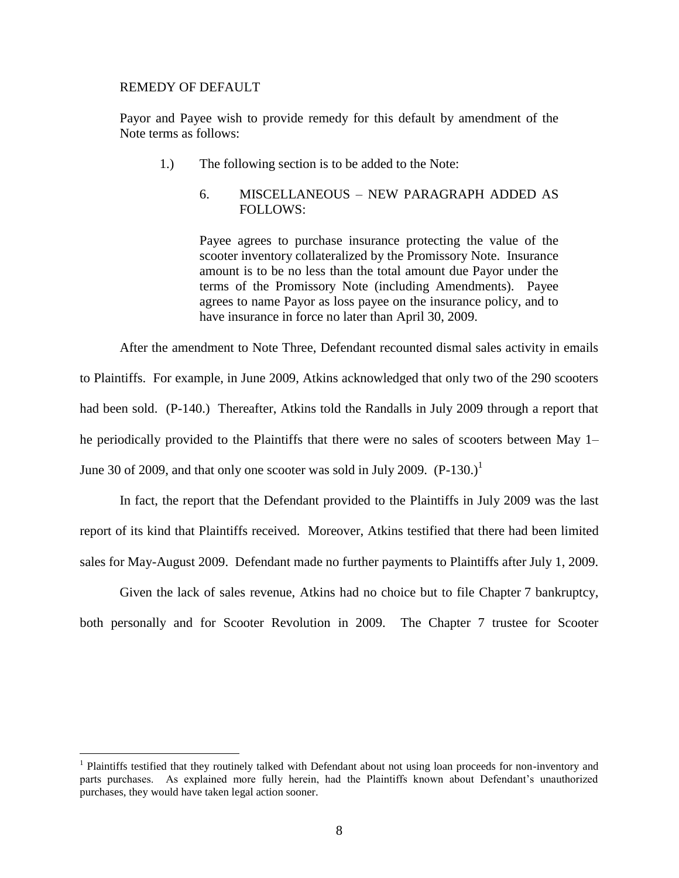### REMEDY OF DEFAULT

 $\overline{a}$ 

Payor and Payee wish to provide remedy for this default by amendment of the Note terms as follows:

1.) The following section is to be added to the Note:

# 6. MISCELLANEOUS – NEW PARAGRAPH ADDED AS FOLLOWS:

Payee agrees to purchase insurance protecting the value of the scooter inventory collateralized by the Promissory Note. Insurance amount is to be no less than the total amount due Payor under the terms of the Promissory Note (including Amendments). Payee agrees to name Payor as loss payee on the insurance policy, and to have insurance in force no later than April 30, 2009.

After the amendment to Note Three, Defendant recounted dismal sales activity in emails to Plaintiffs. For example, in June 2009, Atkins acknowledged that only two of the 290 scooters had been sold. (P-140.) Thereafter, Atkins told the Randalls in July 2009 through a report that he periodically provided to the Plaintiffs that there were no sales of scooters between May 1– June 30 of 2009, and that only one scooter was sold in July 2009.  $(P-130.)^1$ 

In fact, the report that the Defendant provided to the Plaintiffs in July 2009 was the last report of its kind that Plaintiffs received. Moreover, Atkins testified that there had been limited sales for May-August 2009. Defendant made no further payments to Plaintiffs after July 1, 2009.

Given the lack of sales revenue, Atkins had no choice but to file Chapter 7 bankruptcy, both personally and for Scooter Revolution in 2009. The Chapter 7 trustee for Scooter

<sup>&</sup>lt;sup>1</sup> Plaintiffs testified that they routinely talked with Defendant about not using loan proceeds for non-inventory and parts purchases. As explained more fully herein, had the Plaintiffs known about Defendant's unauthorized purchases, they would have taken legal action sooner.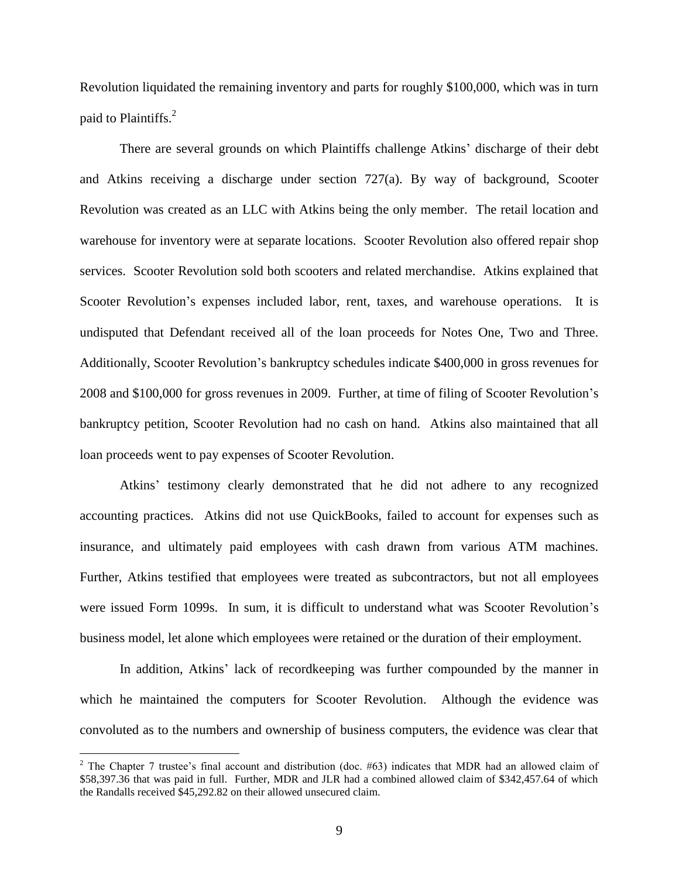Revolution liquidated the remaining inventory and parts for roughly \$100,000, which was in turn paid to Plaintiffs.<sup>2</sup>

There are several grounds on which Plaintiffs challenge Atkins' discharge of their debt and Atkins receiving a discharge under section 727(a). By way of background, Scooter Revolution was created as an LLC with Atkins being the only member. The retail location and warehouse for inventory were at separate locations. Scooter Revolution also offered repair shop services. Scooter Revolution sold both scooters and related merchandise. Atkins explained that Scooter Revolution's expenses included labor, rent, taxes, and warehouse operations. It is undisputed that Defendant received all of the loan proceeds for Notes One, Two and Three. Additionally, Scooter Revolution's bankruptcy schedules indicate \$400,000 in gross revenues for 2008 and \$100,000 for gross revenues in 2009. Further, at time of filing of Scooter Revolution's bankruptcy petition, Scooter Revolution had no cash on hand. Atkins also maintained that all loan proceeds went to pay expenses of Scooter Revolution.

Atkins' testimony clearly demonstrated that he did not adhere to any recognized accounting practices. Atkins did not use QuickBooks, failed to account for expenses such as insurance, and ultimately paid employees with cash drawn from various ATM machines. Further, Atkins testified that employees were treated as subcontractors, but not all employees were issued Form 1099s. In sum, it is difficult to understand what was Scooter Revolution's business model, let alone which employees were retained or the duration of their employment.

In addition, Atkins' lack of recordkeeping was further compounded by the manner in which he maintained the computers for Scooter Revolution. Although the evidence was convoluted as to the numbers and ownership of business computers, the evidence was clear that

 $\overline{a}$ 

<sup>&</sup>lt;sup>2</sup> The Chapter 7 trustee's final account and distribution (doc.  $#63$ ) indicates that MDR had an allowed claim of \$58,397.36 that was paid in full. Further, MDR and JLR had a combined allowed claim of \$342,457.64 of which the Randalls received \$45,292.82 on their allowed unsecured claim.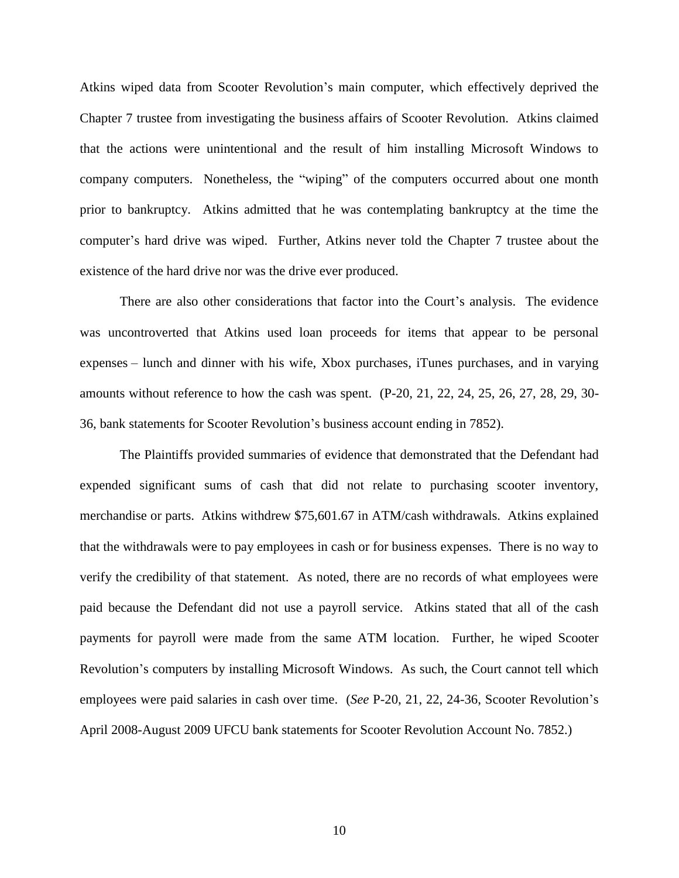Atkins wiped data from Scooter Revolution's main computer, which effectively deprived the Chapter 7 trustee from investigating the business affairs of Scooter Revolution. Atkins claimed that the actions were unintentional and the result of him installing Microsoft Windows to company computers. Nonetheless, the "wiping" of the computers occurred about one month prior to bankruptcy. Atkins admitted that he was contemplating bankruptcy at the time the computer's hard drive was wiped. Further, Atkins never told the Chapter 7 trustee about the existence of the hard drive nor was the drive ever produced.

There are also other considerations that factor into the Court's analysis. The evidence was uncontroverted that Atkins used loan proceeds for items that appear to be personal expenses – lunch and dinner with his wife, Xbox purchases, iTunes purchases, and in varying amounts without reference to how the cash was spent. (P-20, 21, 22, 24, 25, 26, 27, 28, 29, 30- 36, bank statements for Scooter Revolution's business account ending in 7852).

The Plaintiffs provided summaries of evidence that demonstrated that the Defendant had expended significant sums of cash that did not relate to purchasing scooter inventory, merchandise or parts. Atkins withdrew \$75,601.67 in ATM/cash withdrawals. Atkins explained that the withdrawals were to pay employees in cash or for business expenses. There is no way to verify the credibility of that statement. As noted, there are no records of what employees were paid because the Defendant did not use a payroll service. Atkins stated that all of the cash payments for payroll were made from the same ATM location. Further, he wiped Scooter Revolution's computers by installing Microsoft Windows. As such, the Court cannot tell which employees were paid salaries in cash over time. (*See* P-20, 21, 22, 24-36, Scooter Revolution's April 2008-August 2009 UFCU bank statements for Scooter Revolution Account No. 7852.)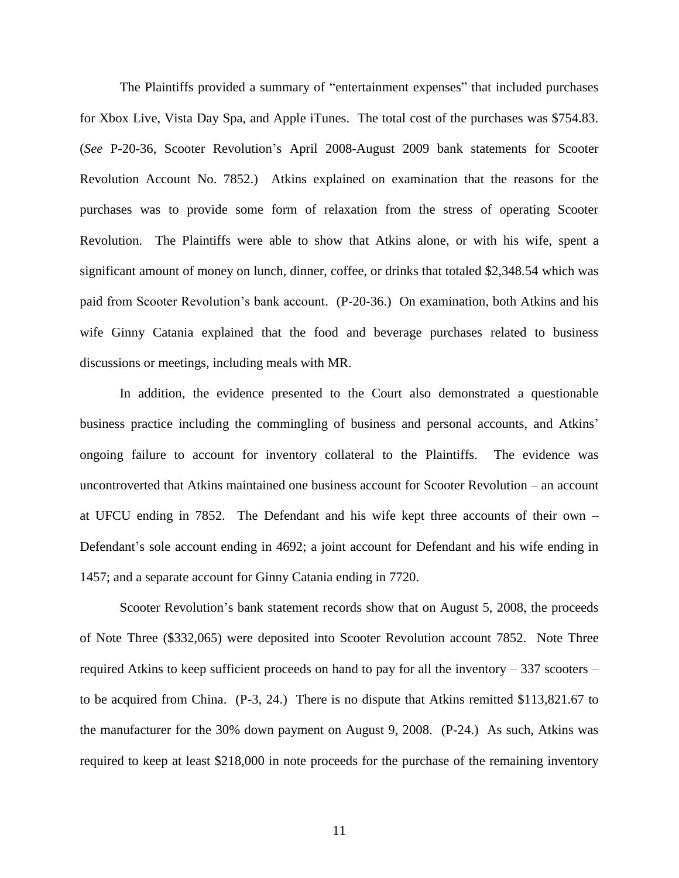The Plaintiffs provided a summary of "entertainment expenses" that included purchases for Xbox Live, Vista Day Spa, and Apple iTunes. The total cost of the purchases was \$754.83. (*See* P-20-36, Scooter Revolution's April 2008-August 2009 bank statements for Scooter Revolution Account No. 7852.) Atkins explained on examination that the reasons for the purchases was to provide some form of relaxation from the stress of operating Scooter Revolution. The Plaintiffs were able to show that Atkins alone, or with his wife, spent a significant amount of money on lunch, dinner, coffee, or drinks that totaled \$2,348.54 which was paid from Scooter Revolution's bank account. (P-20-36.) On examination, both Atkins and his wife Ginny Catania explained that the food and beverage purchases related to business discussions or meetings, including meals with MR.

In addition, the evidence presented to the Court also demonstrated a questionable business practice including the commingling of business and personal accounts, and Atkins' ongoing failure to account for inventory collateral to the Plaintiffs. The evidence was uncontroverted that Atkins maintained one business account for Scooter Revolution – an account at UFCU ending in 7852. The Defendant and his wife kept three accounts of their own – Defendant's sole account ending in 4692; a joint account for Defendant and his wife ending in 1457; and a separate account for Ginny Catania ending in 7720.

Scooter Revolution's bank statement records show that on August 5, 2008, the proceeds of Note Three (\$332,065) were deposited into Scooter Revolution account 7852. Note Three required Atkins to keep sufficient proceeds on hand to pay for all the inventory – 337 scooters – to be acquired from China. (P-3, 24.) There is no dispute that Atkins remitted \$113,821.67 to the manufacturer for the 30% down payment on August 9, 2008. (P-24.) As such, Atkins was required to keep at least \$218,000 in note proceeds for the purchase of the remaining inventory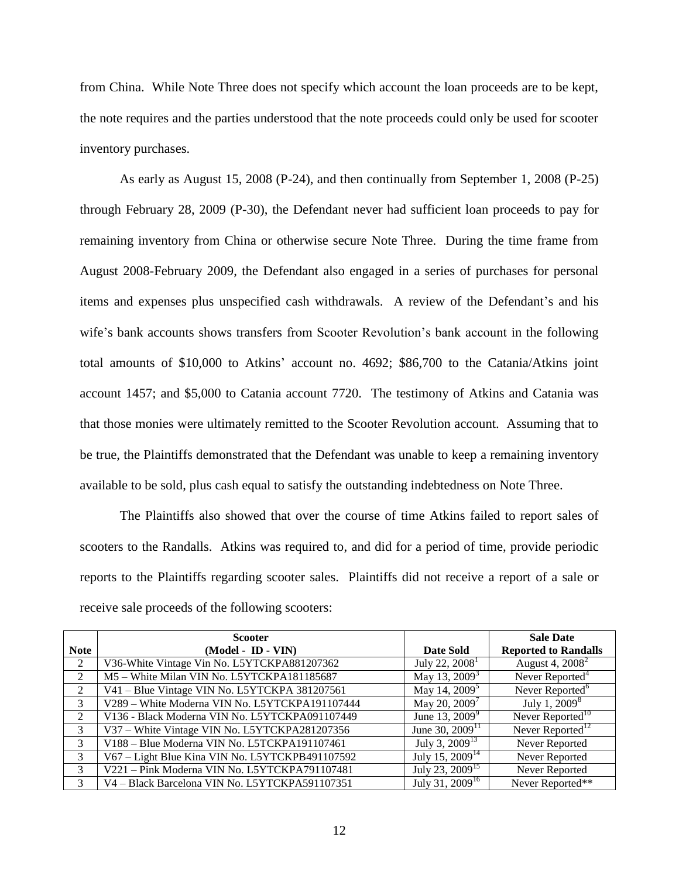from China. While Note Three does not specify which account the loan proceeds are to be kept, the note requires and the parties understood that the note proceeds could only be used for scooter inventory purchases.

As early as August 15, 2008 (P-24), and then continually from September 1, 2008 (P-25) through February 28, 2009 (P-30), the Defendant never had sufficient loan proceeds to pay for remaining inventory from China or otherwise secure Note Three. During the time frame from August 2008-February 2009, the Defendant also engaged in a series of purchases for personal items and expenses plus unspecified cash withdrawals. A review of the Defendant's and his wife's bank accounts shows transfers from Scooter Revolution's bank account in the following total amounts of \$10,000 to Atkins' account no. 4692; \$86,700 to the Catania/Atkins joint account 1457; and \$5,000 to Catania account 7720. The testimony of Atkins and Catania was that those monies were ultimately remitted to the Scooter Revolution account. Assuming that to be true, the Plaintiffs demonstrated that the Defendant was unable to keep a remaining inventory available to be sold, plus cash equal to satisfy the outstanding indebtedness on Note Three.

The Plaintiffs also showed that over the course of time Atkins failed to report sales of scooters to the Randalls. Atkins was required to, and did for a period of time, provide periodic reports to the Plaintiffs regarding scooter sales. Plaintiffs did not receive a report of a sale or receive sale proceeds of the following scooters:

|                | <b>Scooter</b>                                  |                             | <b>Sale Date</b>             |
|----------------|-------------------------------------------------|-----------------------------|------------------------------|
| <b>Note</b>    | (Model - ID - VIN)                              | Date Sold                   | <b>Reported to Randalls</b>  |
| 2              | V36-White Vintage Vin No. L5YTCKPA881207362     | July 22, $20081$            | August 4, 2008 <sup>2</sup>  |
| $\mathfrak{D}$ | M5 - White Milan VIN No. L5YTCKPA181185687      | May 13, $2009^3$            | Never Reported <sup>4</sup>  |
| 2              | V41 - Blue Vintage VIN No. L5YTCKPA 381207561   | May 14, 2009 <sup>5</sup>   | Never Reported <sup>6</sup>  |
| 3              | V289 - White Moderna VIN No. L5YTCKPA191107444  | May 20, $2009^7$            | July 1, $2009^8$             |
| $\mathcal{L}$  | V136 - Black Moderna VIN No. L5YTCKPA091107449  | June 13, $2009^9$           | Never Reported <sup>10</sup> |
| 3              | V37 - White Vintage VIN No. L5YTCKPA281207356   | June 30, $2009^{11}$        | Never Reported <sup>12</sup> |
| 3              | V188 - Blue Moderna VIN No. L5TCKPA191107461    | July 3, $2009^{13}$         | Never Reported               |
| 3              | V67 - Light Blue Kina VIN No. L5YTCKPB491107592 | July 15, 2009 <sup>14</sup> | Never Reported               |
| 3              | V221 - Pink Moderna VIN No. L5YTCKPA791107481   | July 23, 2009 <sup>15</sup> | Never Reported               |
| 3              | V4 - Black Barcelona VIN No. L5YTCKPA591107351  | July 31, 2009 <sup>16</sup> | Never Reported**             |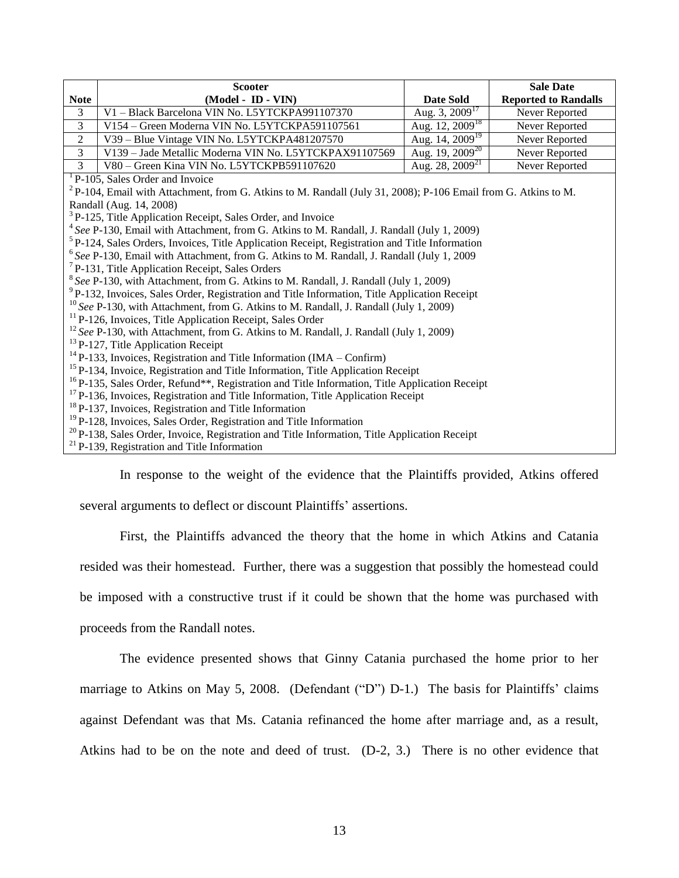|                                                                                                                                                                                                                                                                                                                                                                                                                                                                                                                                                | <b>Scooter</b>                                         |                      | <b>Sale Date</b>            |  |
|------------------------------------------------------------------------------------------------------------------------------------------------------------------------------------------------------------------------------------------------------------------------------------------------------------------------------------------------------------------------------------------------------------------------------------------------------------------------------------------------------------------------------------------------|--------------------------------------------------------|----------------------|-----------------------------|--|
| <b>Note</b>                                                                                                                                                                                                                                                                                                                                                                                                                                                                                                                                    | (Model - ID - VIN)                                     | Date Sold            | <b>Reported to Randalls</b> |  |
| $\mathfrak{Z}$                                                                                                                                                                                                                                                                                                                                                                                                                                                                                                                                 | V1 – Black Barcelona VIN No. L5YTCKPA991107370         | Aug. 3, $2009^{17}$  | Never Reported              |  |
| 3                                                                                                                                                                                                                                                                                                                                                                                                                                                                                                                                              | V154 – Green Moderna VIN No. L5YTCKPA591107561         | Aug. 12, $2009^{18}$ | Never Reported              |  |
| $\overline{2}$                                                                                                                                                                                                                                                                                                                                                                                                                                                                                                                                 | V39 - Blue Vintage VIN No. L5YTCKPA481207570           | Aug. 14, $2009^{19}$ | Never Reported              |  |
| 3                                                                                                                                                                                                                                                                                                                                                                                                                                                                                                                                              | V139 - Jade Metallic Moderna VIN No. L5YTCKPAX91107569 | Aug. 19, $2009^{20}$ | Never Reported              |  |
| $\overline{3}$                                                                                                                                                                                                                                                                                                                                                                                                                                                                                                                                 | V80 - Green Kina VIN No. L5YTCKPB591107620             | Aug. 28, $2009^{21}$ | Never Reported              |  |
|                                                                                                                                                                                                                                                                                                                                                                                                                                                                                                                                                | <sup>1</sup> P-105, Sales Order and Invoice            |                      |                             |  |
| ${}^{2}P-104$ , Email with Attachment, from G. Atkins to M. Randall (July 31, 2008); P-106 Email from G. Atkins to M.                                                                                                                                                                                                                                                                                                                                                                                                                          |                                                        |                      |                             |  |
| Randall (Aug. 14, 2008)                                                                                                                                                                                                                                                                                                                                                                                                                                                                                                                        |                                                        |                      |                             |  |
| <sup>3</sup> P-125, Title Application Receipt, Sales Order, and Invoice                                                                                                                                                                                                                                                                                                                                                                                                                                                                        |                                                        |                      |                             |  |
| $4$ See P-130, Email with Attachment, from G. Atkins to M. Randall, J. Randall (July 1, 2009)                                                                                                                                                                                                                                                                                                                                                                                                                                                  |                                                        |                      |                             |  |
| <sup>5</sup> P-124, Sales Orders, Invoices, Title Application Receipt, Registration and Title Information                                                                                                                                                                                                                                                                                                                                                                                                                                      |                                                        |                      |                             |  |
| $6$ See P-130, Email with Attachment, from G. Atkins to M. Randall, J. Randall (July 1, 2009)                                                                                                                                                                                                                                                                                                                                                                                                                                                  |                                                        |                      |                             |  |
| $7$ P-131, Title Application Receipt, Sales Orders                                                                                                                                                                                                                                                                                                                                                                                                                                                                                             |                                                        |                      |                             |  |
| $8$ See P-130, with Attachment, from G. Atkins to M. Randall, J. Randall (July 1, 2009)                                                                                                                                                                                                                                                                                                                                                                                                                                                        |                                                        |                      |                             |  |
| <sup>9</sup> P-132, Invoices, Sales Order, Registration and Title Information, Title Application Receipt                                                                                                                                                                                                                                                                                                                                                                                                                                       |                                                        |                      |                             |  |
| $10$ See P-130, with Attachment, from G. Atkins to M. Randall, J. Randall (July 1, 2009)                                                                                                                                                                                                                                                                                                                                                                                                                                                       |                                                        |                      |                             |  |
| <sup>11</sup> P-126, Invoices, Title Application Receipt, Sales Order                                                                                                                                                                                                                                                                                                                                                                                                                                                                          |                                                        |                      |                             |  |
| $12$ See P-130, with Attachment, from G. Atkins to M. Randall, J. Randall (July 1, 2009)                                                                                                                                                                                                                                                                                                                                                                                                                                                       |                                                        |                      |                             |  |
| <sup>13</sup> P-127, Title Application Receipt                                                                                                                                                                                                                                                                                                                                                                                                                                                                                                 |                                                        |                      |                             |  |
| $^{14}$ P-133, Invoices, Registration and Title Information (IMA – Confirm)                                                                                                                                                                                                                                                                                                                                                                                                                                                                    |                                                        |                      |                             |  |
| <sup>15</sup> P-134, Invoice, Registration and Title Information, Title Application Receipt                                                                                                                                                                                                                                                                                                                                                                                                                                                    |                                                        |                      |                             |  |
|                                                                                                                                                                                                                                                                                                                                                                                                                                                                                                                                                |                                                        |                      |                             |  |
|                                                                                                                                                                                                                                                                                                                                                                                                                                                                                                                                                |                                                        |                      |                             |  |
|                                                                                                                                                                                                                                                                                                                                                                                                                                                                                                                                                |                                                        |                      |                             |  |
|                                                                                                                                                                                                                                                                                                                                                                                                                                                                                                                                                |                                                        |                      |                             |  |
|                                                                                                                                                                                                                                                                                                                                                                                                                                                                                                                                                |                                                        |                      |                             |  |
| <sup>16</sup> P-135, Sales Order, Refund <sup>**</sup> , Registration and Title Information, Title Application Receipt<br><sup>17</sup> P-136, Invoices, Registration and Title Information, Title Application Receipt<br><sup>18</sup> P-137, Invoices, Registration and Title Information<br><sup>19</sup> P-128, Invoices, Sales Order, Registration and Title Information<br><sup>20</sup> P-138, Sales Order, Invoice, Registration and Title Information, Title Application Receipt<br>$^{21}$ P-139. Registration and Title Information |                                                        |                      |                             |  |

In response to the weight of the evidence that the Plaintiffs provided, Atkins offered several arguments to deflect or discount Plaintiffs' assertions.

First, the Plaintiffs advanced the theory that the home in which Atkins and Catania resided was their homestead. Further, there was a suggestion that possibly the homestead could be imposed with a constructive trust if it could be shown that the home was purchased with proceeds from the Randall notes.

The evidence presented shows that Ginny Catania purchased the home prior to her marriage to Atkins on May 5, 2008. (Defendant ("D") D-1.) The basis for Plaintiffs' claims against Defendant was that Ms. Catania refinanced the home after marriage and, as a result, Atkins had to be on the note and deed of trust. (D-2, 3.) There is no other evidence that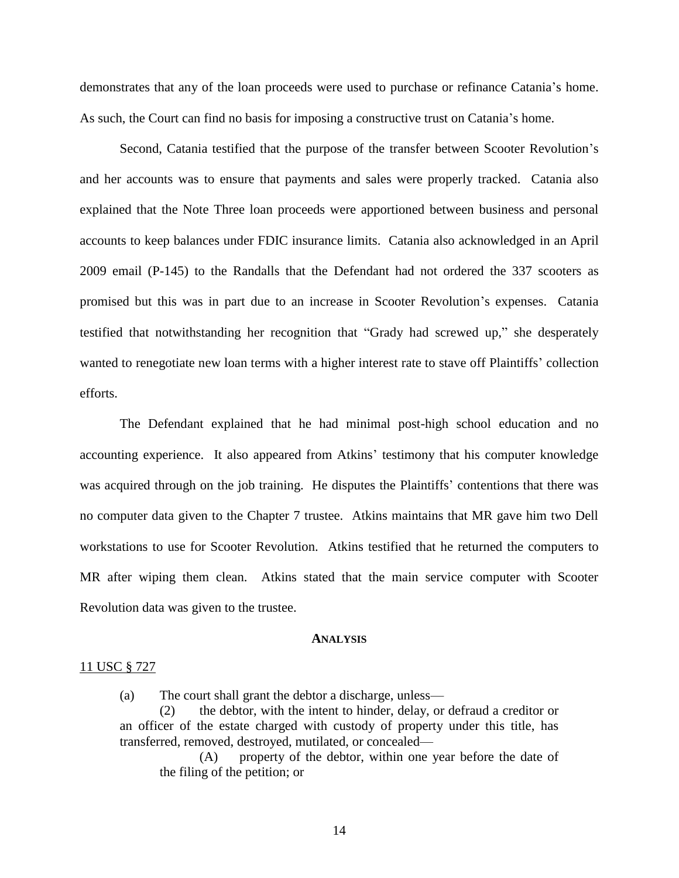demonstrates that any of the loan proceeds were used to purchase or refinance Catania's home. As such, the Court can find no basis for imposing a constructive trust on Catania's home.

Second, Catania testified that the purpose of the transfer between Scooter Revolution's and her accounts was to ensure that payments and sales were properly tracked. Catania also explained that the Note Three loan proceeds were apportioned between business and personal accounts to keep balances under FDIC insurance limits. Catania also acknowledged in an April 2009 email (P-145) to the Randalls that the Defendant had not ordered the 337 scooters as promised but this was in part due to an increase in Scooter Revolution's expenses. Catania testified that notwithstanding her recognition that "Grady had screwed up," she desperately wanted to renegotiate new loan terms with a higher interest rate to stave off Plaintiffs' collection efforts.

The Defendant explained that he had minimal post-high school education and no accounting experience. It also appeared from Atkins' testimony that his computer knowledge was acquired through on the job training. He disputes the Plaintiffs' contentions that there was no computer data given to the Chapter 7 trustee. Atkins maintains that MR gave him two Dell workstations to use for Scooter Revolution. Atkins testified that he returned the computers to MR after wiping them clean. Atkins stated that the main service computer with Scooter Revolution data was given to the trustee.

#### **ANALYSIS**

# 11 USC § 727

(a) The court shall grant the debtor a discharge, unless—

(2) the debtor, with the intent to hinder, delay, or defraud a creditor or an officer of the estate charged with custody of property under this title, has transferred, removed, destroyed, mutilated, or concealed—

(A) property of the debtor, within one year before the date of the filing of the petition; or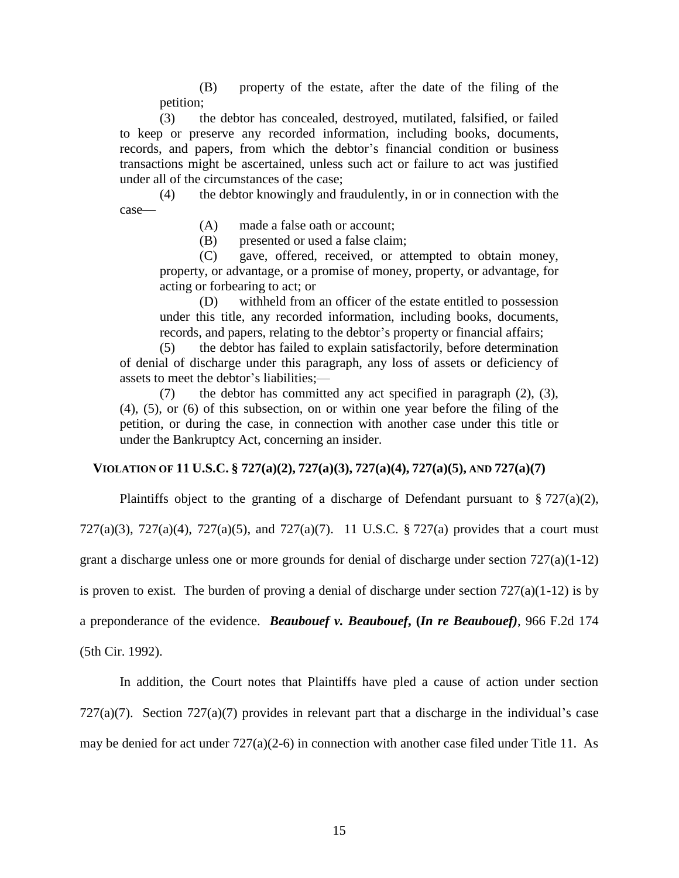(B) property of the estate, after the date of the filing of the petition;

(3) the debtor has concealed, destroyed, mutilated, falsified, or failed to keep or preserve any recorded information, including books, documents, records, and papers, from which the debtor's financial condition or business transactions might be ascertained, unless such act or failure to act was justified under all of the circumstances of the case;

(4) the debtor knowingly and fraudulently, in or in connection with the case—

(A) made a false oath or account;

(B) presented or used a false claim;

(C) gave, offered, received, or attempted to obtain money, property, or advantage, or a promise of money, property, or advantage, for acting or forbearing to act; or

(D) withheld from an officer of the estate entitled to possession under this title, any recorded information, including books, documents, records, and papers, relating to the debtor's property or financial affairs;

(5) the debtor has failed to explain satisfactorily, before determination of denial of discharge under this paragraph, any loss of assets or deficiency of assets to meet the debtor's liabilities;—

(7) the debtor has committed any act specified in paragraph (2), (3), (4), (5), or (6) of this subsection, on or within one year before the filing of the petition, or during the case, in connection with another case under this title or under the Bankruptcy Act, concerning an insider.

## **VIOLATION OF 11 U.S.C. § 727(a)(2), 727(a)(3), 727(a)(4), 727(a)(5), AND 727(a)(7)**

Plaintiffs object to the granting of a discharge of Defendant pursuant to  $\S 727(a)(2)$ ,

727(a)(3), 727(a)(4), 727(a)(5), and 727(a)(7). 11 U.S.C. § 727(a) provides that a court must

grant a discharge unless one or more grounds for denial of discharge under section  $727(a)(1-12)$ 

is proven to exist. The burden of proving a denial of discharge under section  $727(a)(1-12)$  is by

a preponderance of the evidence. *Beaubouef v. Beaubouef***, (***In re Beaubouef)*, 966 F.2d 174

(5th Cir. 1992).

In addition, the Court notes that Plaintiffs have pled a cause of action under section

 $727(a)(7)$ . Section  $727(a)(7)$  provides in relevant part that a discharge in the individual's case

may be denied for act under 727(a)(2-6) in connection with another case filed under Title 11. As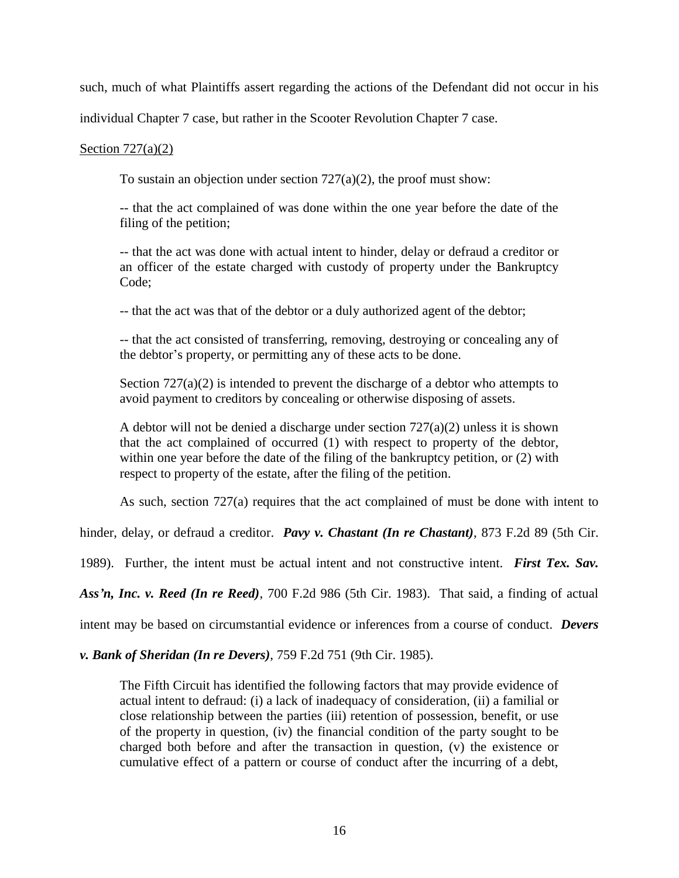such, much of what Plaintiffs assert regarding the actions of the Defendant did not occur in his

individual Chapter 7 case, but rather in the Scooter Revolution Chapter 7 case.

## Section  $727(a)(2)$

To sustain an objection under section  $727(a)(2)$ , the proof must show:

-- that the act complained of was done within the one year before the date of the filing of the petition;

-- that the act was done with actual intent to hinder, delay or defraud a creditor or an officer of the estate charged with custody of property under the Bankruptcy Code;

-- that the act was that of the debtor or a duly authorized agent of the debtor;

-- that the act consisted of transferring, removing, destroying or concealing any of the debtor's property, or permitting any of these acts to be done.

Section  $727(a)(2)$  is intended to prevent the discharge of a debtor who attempts to avoid payment to creditors by concealing or otherwise disposing of assets.

A debtor will not be denied a discharge under section  $727(a)(2)$  unless it is shown that the act complained of occurred (1) with respect to property of the debtor, within one year before the date of the filing of the bankruptcy petition, or (2) with respect to property of the estate, after the filing of the petition.

As such, section 727(a) requires that the act complained of must be done with intent to

hinder, delay, or defraud a creditor. *Pavy v. Chastant (In re Chastant)*, 873 F.2d 89 (5th Cir.

1989). Further, the intent must be actual intent and not constructive intent. *First Tex. Sav.* 

*Ass'n, Inc. v. Reed (In re Reed)*, 700 F.2d 986 (5th Cir. 1983). That said, a finding of actual

intent may be based on circumstantial evidence or inferences from a course of conduct. *Devers* 

*v. Bank of Sheridan (In re Devers)*, 759 F.2d 751 (9th Cir. 1985).

The Fifth Circuit has identified the following factors that may provide evidence of actual intent to defraud: (i) a lack of inadequacy of consideration, (ii) a familial or close relationship between the parties (iii) retention of possession, benefit, or use of the property in question, (iv) the financial condition of the party sought to be charged both before and after the transaction in question, (v) the existence or cumulative effect of a pattern or course of conduct after the incurring of a debt,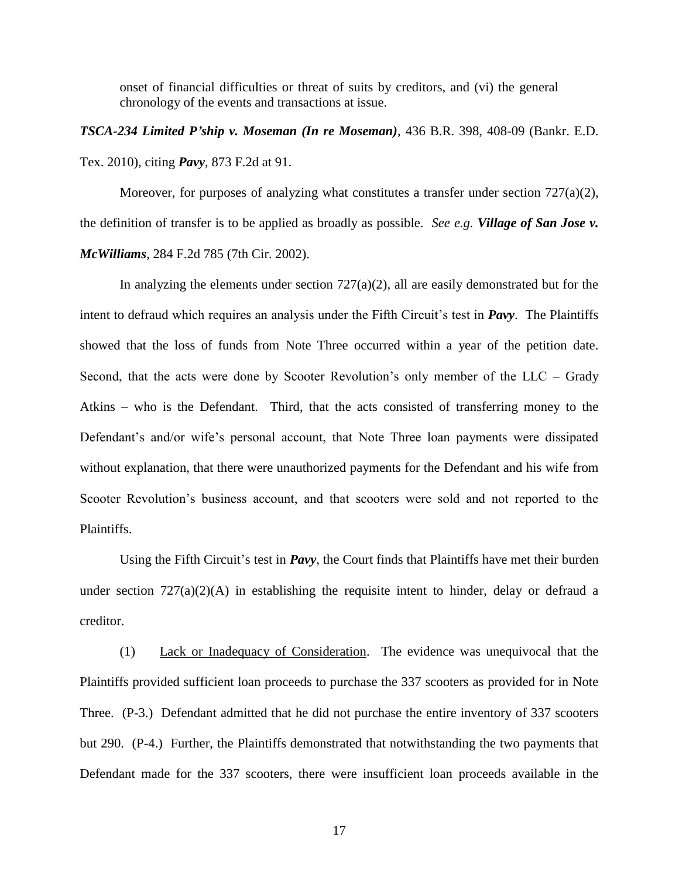onset of financial difficulties or threat of suits by creditors, and (vi) the general chronology of the events and transactions at issue.

*TSCA-234 Limited P'ship v. Moseman (In re Moseman)*, 436 B.R. 398, 408-09 (Bankr. E.D. Tex. 2010), citing *Pavy*, 873 F.2d at 91.

Moreover, for purposes of analyzing what constitutes a transfer under section  $727(a)(2)$ , the definition of transfer is to be applied as broadly as possible. *See e.g. Village of San Jose v. McWilliams*, 284 F.2d 785 (7th Cir. 2002).

In analyzing the elements under section  $727(a)(2)$ , all are easily demonstrated but for the intent to defraud which requires an analysis under the Fifth Circuit's test in *Pavy*. The Plaintiffs showed that the loss of funds from Note Three occurred within a year of the petition date. Second, that the acts were done by Scooter Revolution's only member of the LLC – Grady Atkins – who is the Defendant. Third, that the acts consisted of transferring money to the Defendant's and/or wife's personal account, that Note Three loan payments were dissipated without explanation, that there were unauthorized payments for the Defendant and his wife from Scooter Revolution's business account, and that scooters were sold and not reported to the Plaintiffs.

Using the Fifth Circuit's test in *Pavy*, the Court finds that Plaintiffs have met their burden under section  $727(a)(2)(A)$  in establishing the requisite intent to hinder, delay or defraud a creditor.

(1) Lack or Inadequacy of Consideration. The evidence was unequivocal that the Plaintiffs provided sufficient loan proceeds to purchase the 337 scooters as provided for in Note Three. (P-3.) Defendant admitted that he did not purchase the entire inventory of 337 scooters but 290. (P-4.) Further, the Plaintiffs demonstrated that notwithstanding the two payments that Defendant made for the 337 scooters, there were insufficient loan proceeds available in the

17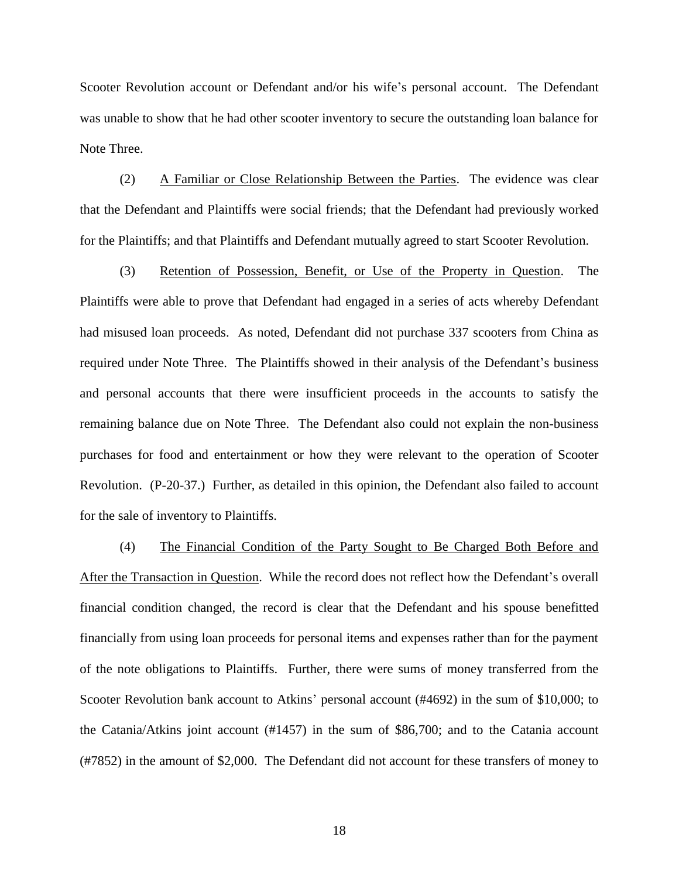Scooter Revolution account or Defendant and/or his wife's personal account. The Defendant was unable to show that he had other scooter inventory to secure the outstanding loan balance for Note Three.

(2) A Familiar or Close Relationship Between the Parties. The evidence was clear that the Defendant and Plaintiffs were social friends; that the Defendant had previously worked for the Plaintiffs; and that Plaintiffs and Defendant mutually agreed to start Scooter Revolution.

(3) Retention of Possession, Benefit, or Use of the Property in Question. The Plaintiffs were able to prove that Defendant had engaged in a series of acts whereby Defendant had misused loan proceeds. As noted, Defendant did not purchase 337 scooters from China as required under Note Three. The Plaintiffs showed in their analysis of the Defendant's business and personal accounts that there were insufficient proceeds in the accounts to satisfy the remaining balance due on Note Three. The Defendant also could not explain the non-business purchases for food and entertainment or how they were relevant to the operation of Scooter Revolution. (P-20-37.) Further, as detailed in this opinion, the Defendant also failed to account for the sale of inventory to Plaintiffs.

(4) The Financial Condition of the Party Sought to Be Charged Both Before and After the Transaction in Question. While the record does not reflect how the Defendant's overall financial condition changed, the record is clear that the Defendant and his spouse benefitted financially from using loan proceeds for personal items and expenses rather than for the payment of the note obligations to Plaintiffs. Further, there were sums of money transferred from the Scooter Revolution bank account to Atkins' personal account (#4692) in the sum of \$10,000; to the Catania/Atkins joint account (#1457) in the sum of \$86,700; and to the Catania account (#7852) in the amount of \$2,000. The Defendant did not account for these transfers of money to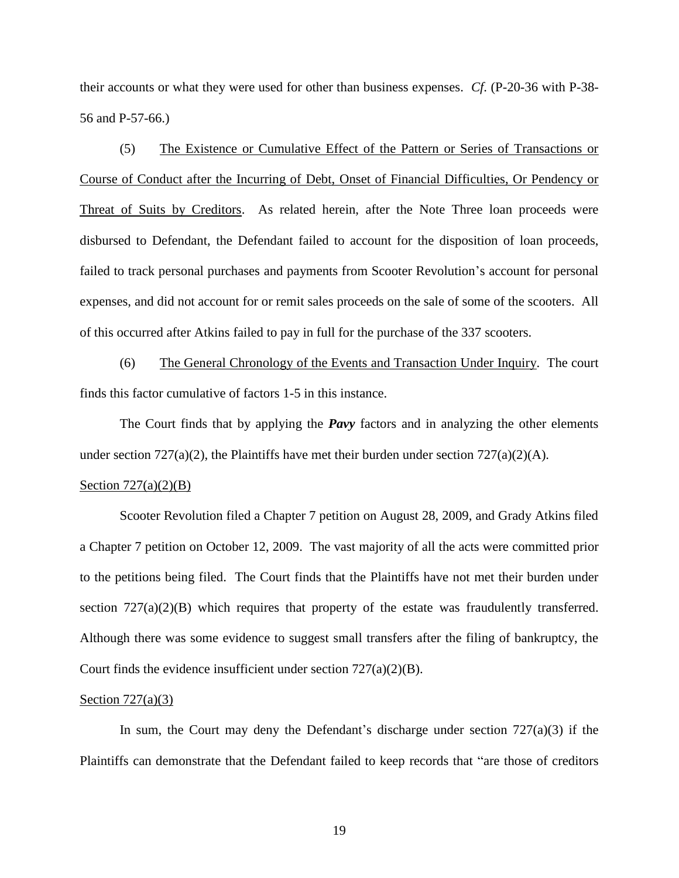their accounts or what they were used for other than business expenses. *Cf*. (P-20-36 with P-38- 56 and P-57-66.)

(5) The Existence or Cumulative Effect of the Pattern or Series of Transactions or Course of Conduct after the Incurring of Debt, Onset of Financial Difficulties, Or Pendency or Threat of Suits by Creditors. As related herein, after the Note Three loan proceeds were disbursed to Defendant, the Defendant failed to account for the disposition of loan proceeds, failed to track personal purchases and payments from Scooter Revolution's account for personal expenses, and did not account for or remit sales proceeds on the sale of some of the scooters. All of this occurred after Atkins failed to pay in full for the purchase of the 337 scooters.

(6) The General Chronology of the Events and Transaction Under Inquiry. The court finds this factor cumulative of factors 1-5 in this instance.

The Court finds that by applying the *Pavy* factors and in analyzing the other elements under section  $727(a)(2)$ , the Plaintiffs have met their burden under section  $727(a)(2)(A)$ .

### Section  $727(a)(2)(B)$

Scooter Revolution filed a Chapter 7 petition on August 28, 2009, and Grady Atkins filed a Chapter 7 petition on October 12, 2009. The vast majority of all the acts were committed prior to the petitions being filed. The Court finds that the Plaintiffs have not met their burden under section  $727(a)(2)(B)$  which requires that property of the estate was fraudulently transferred. Although there was some evidence to suggest small transfers after the filing of bankruptcy, the Court finds the evidence insufficient under section  $727(a)(2)(B)$ .

#### Section  $727(a)(3)$

In sum, the Court may deny the Defendant's discharge under section  $727(a)(3)$  if the Plaintiffs can demonstrate that the Defendant failed to keep records that "are those of creditors"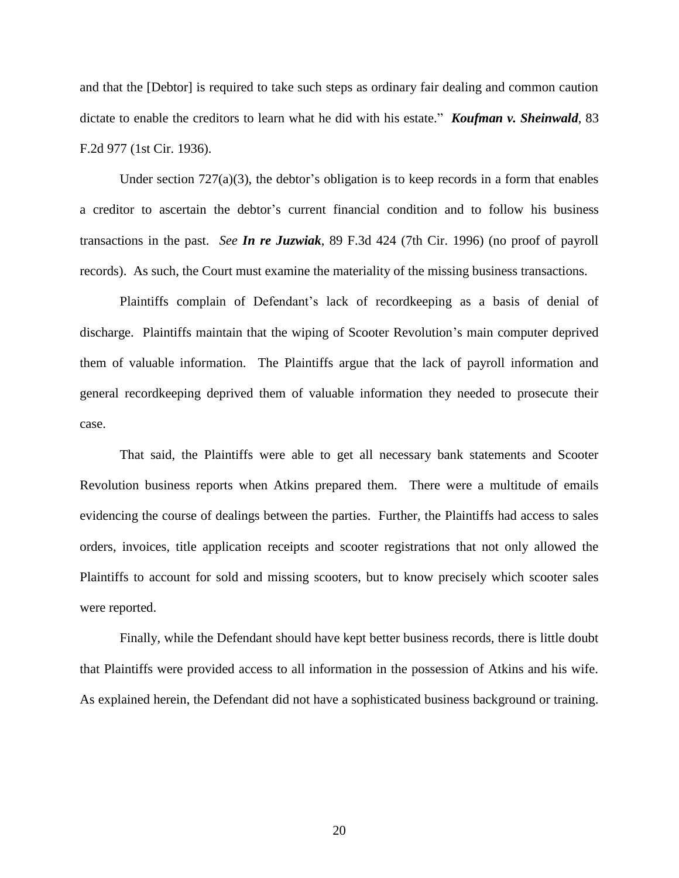and that the [Debtor] is required to take such steps as ordinary fair dealing and common caution dictate to enable the creditors to learn what he did with his estate." *Koufman v. Sheinwald*, 83 F.2d 977 (1st Cir. 1936).

Under section  $727(a)(3)$ , the debtor's obligation is to keep records in a form that enables a creditor to ascertain the debtor's current financial condition and to follow his business transactions in the past. *See In re Juzwiak*, 89 F.3d 424 (7th Cir. 1996) (no proof of payroll records). As such, the Court must examine the materiality of the missing business transactions.

Plaintiffs complain of Defendant's lack of recordkeeping as a basis of denial of discharge. Plaintiffs maintain that the wiping of Scooter Revolution's main computer deprived them of valuable information. The Plaintiffs argue that the lack of payroll information and general recordkeeping deprived them of valuable information they needed to prosecute their case.

That said, the Plaintiffs were able to get all necessary bank statements and Scooter Revolution business reports when Atkins prepared them. There were a multitude of emails evidencing the course of dealings between the parties. Further, the Plaintiffs had access to sales orders, invoices, title application receipts and scooter registrations that not only allowed the Plaintiffs to account for sold and missing scooters, but to know precisely which scooter sales were reported.

Finally, while the Defendant should have kept better business records, there is little doubt that Plaintiffs were provided access to all information in the possession of Atkins and his wife. As explained herein, the Defendant did not have a sophisticated business background or training.

20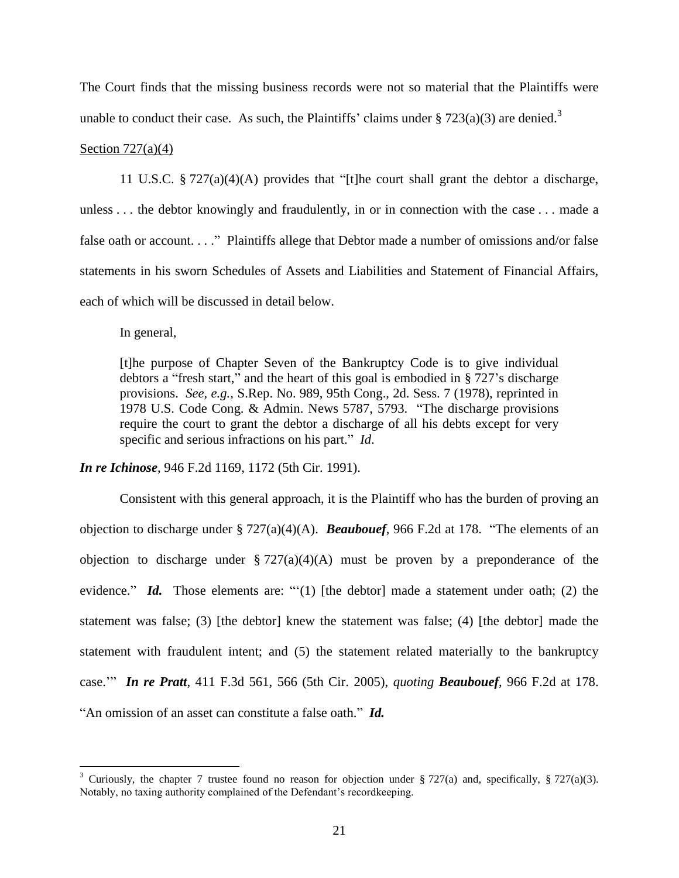The Court finds that the missing business records were not so material that the Plaintiffs were unable to conduct their case. As such, the Plaintiffs' claims under  $\S 723(a)(3)$  are denied.<sup>3</sup>

## Section  $727(a)(4)$

11 U.S.C.  $\S 727(a)(4)(A)$  provides that "[t]he court shall grant the debtor a discharge, unless . . . the debtor knowingly and fraudulently, in or in connection with the case . . . made a false oath or account.  $\ldots$ " Plaintiffs allege that Debtor made a number of omissions and/or false statements in his sworn Schedules of Assets and Liabilities and Statement of Financial Affairs, each of which will be discussed in detail below.

In general,

 $\overline{a}$ 

[t]he purpose of Chapter Seven of the Bankruptcy Code is to give individual debtors a "fresh start," and the heart of this goal is embodied in  $\S 727$ 's discharge provisions. *See, e.g.,* S.Rep. No. 989, 95th Cong., 2d. Sess. 7 (1978), reprinted in 1978 U.S. Code Cong. & Admin. News 5787, 5793. "The discharge provisions require the court to grant the debtor a discharge of all his debts except for very specific and serious infractions on his part." *Id.* 

*In re Ichinose*, 946 F.2d 1169, 1172 (5th Cir. 1991).

Consistent with this general approach, it is the Plaintiff who has the burden of proving an objection to discharge under  $\S 727(a)(4)(A)$ . **Beaubouef**, 966 F.2d at 178. "The elements of an objection to discharge under  $\S 727(a)(4)(A)$  must be proven by a preponderance of the evidence." **Id.** Those elements are: " $(1)$  [the debtor] made a statement under oath; (2) the statement was false; (3) [the debtor] knew the statement was false; (4) [the debtor] made the statement with fraudulent intent; and (5) the statement related materially to the bankruptcy case.'‖ *In re Pratt*, 411 F.3d 561, 566 (5th Cir. 2005), *quoting Beaubouef*, 966 F.2d at 178. "An omission of an asset can constitute a false oath." *Id.* 

<sup>&</sup>lt;sup>3</sup> Curiously, the chapter 7 trustee found no reason for objection under § 727(a) and, specifically, § 727(a)(3). Notably, no taxing authority complained of the Defendant's recordkeeping.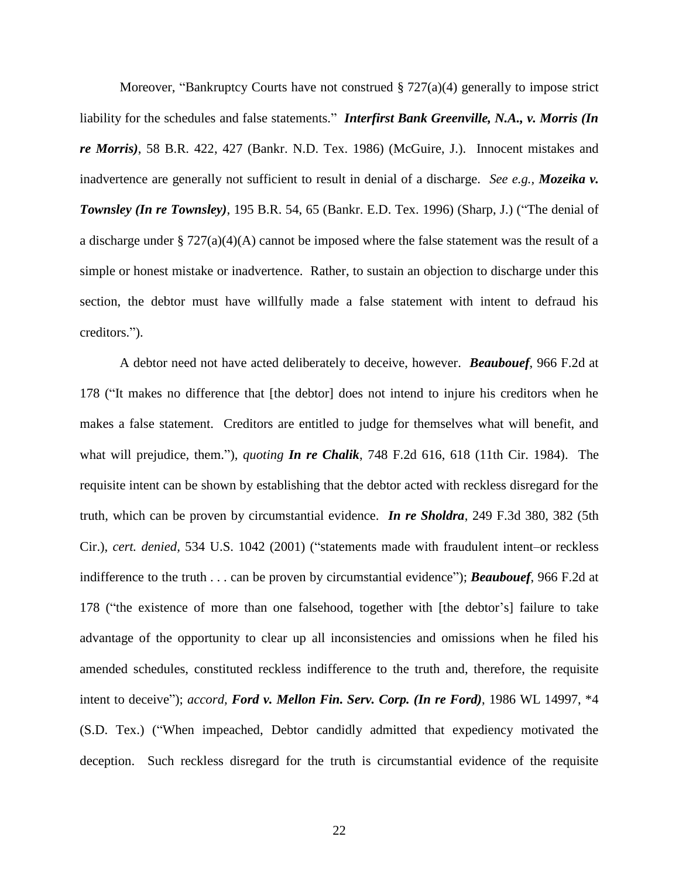Moreover, "Bankruptcy Courts have not construed  $\S 727(a)(4)$  generally to impose strict liability for the schedules and false statements." **Interfirst Bank Greenville, N.A., v. Morris (In** *re Morris)*, 58 B.R. 422, 427 (Bankr. N.D. Tex. 1986) (McGuire, J.). Innocent mistakes and inadvertence are generally not sufficient to result in denial of a discharge. *See e.g., Mozeika v. Townsley (In re Townsley)*, 195 B.R. 54, 65 (Bankr. E.D. Tex. 1996) (Sharp, J.) ("The denial of a discharge under § 727(a)(4)(A) cannot be imposed where the false statement was the result of a simple or honest mistake or inadvertence. Rather, to sustain an objection to discharge under this section, the debtor must have willfully made a false statement with intent to defraud his creditors.").

A debtor need not have acted deliberately to deceive, however. *Beaubouef*, 966 F.2d at 178 ("It makes no difference that [the debtor] does not intend to injure his creditors when he makes a false statement. Creditors are entitled to judge for themselves what will benefit, and what will prejudice, them."), *quoting In re Chalik*, 748 F.2d 616, 618 (11th Cir. 1984). The requisite intent can be shown by establishing that the debtor acted with reckless disregard for the truth, which can be proven by circumstantial evidence. *In re Sholdra*, 249 F.3d 380, 382 (5th Cir.), *cert. denied*, 534 U.S. 1042 (2001) ("statements made with fraudulent intent–or reckless indifference to the truth . . . can be proven by circumstantial evidence"); *Beaubouef*, 966 F.2d at 178 ("the existence of more than one falsehood, together with [the debtor's] failure to take advantage of the opportunity to clear up all inconsistencies and omissions when he filed his amended schedules, constituted reckless indifference to the truth and, therefore, the requisite intent to deceive"); *accord, Ford v. Mellon Fin. Serv. Corp.* (*In re Ford*), 1986 WL 14997, \*4 (S.D. Tex.) ("When impeached, Debtor candidly admitted that expediency motivated the deception. Such reckless disregard for the truth is circumstantial evidence of the requisite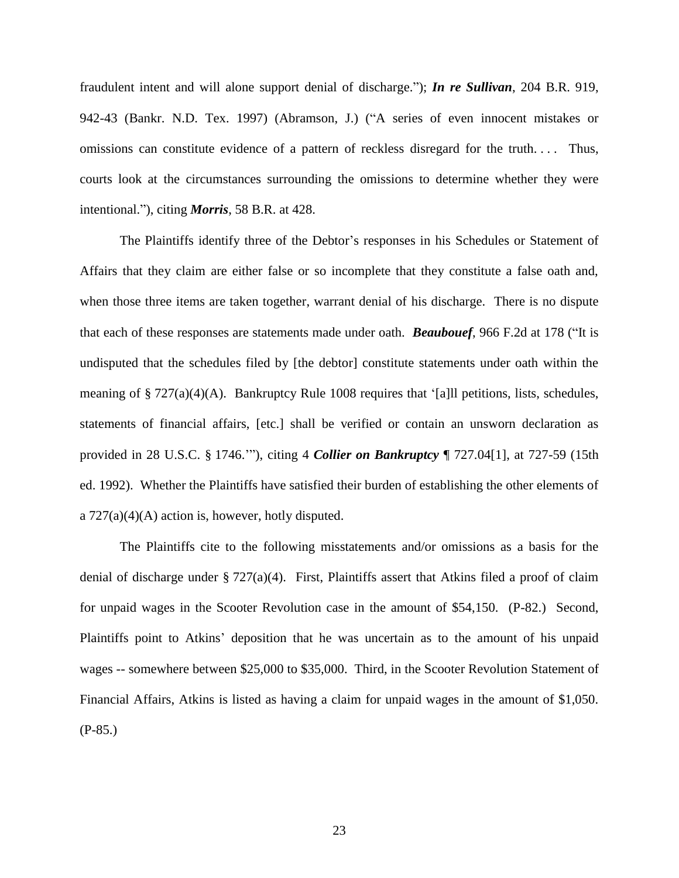fraudulent intent and will alone support denial of discharge."); *In re Sullivan*, 204 B.R. 919, 942-43 (Bankr. N.D. Tex. 1997) (Abramson, J.) ("A series of even innocent mistakes or omissions can constitute evidence of a pattern of reckless disregard for the truth. . . . Thus, courts look at the circumstances surrounding the omissions to determine whether they were intentional."), citing *Morris*, 58 B.R. at 428.

The Plaintiffs identify three of the Debtor's responses in his Schedules or Statement of Affairs that they claim are either false or so incomplete that they constitute a false oath and, when those three items are taken together, warrant denial of his discharge. There is no dispute that each of these responses are statements made under oath. **Beaubouef**, 966 F.2d at 178 ("It is undisputed that the schedules filed by [the debtor] constitute statements under oath within the meaning of  $\S 727(a)(4)(A)$ . Bankruptcy Rule 1008 requires that '[a]ll petitions, lists, schedules, statements of financial affairs, [etc.] shall be verified or contain an unsworn declaration as provided in 28 U.S.C. § 1746.'‖), citing 4 *Collier on Bankruptcy* ¶ 727.04[1], at 727-59 (15th ed. 1992). Whether the Plaintiffs have satisfied their burden of establishing the other elements of a  $727(a)(4)(A)$  action is, however, hotly disputed.

The Plaintiffs cite to the following misstatements and/or omissions as a basis for the denial of discharge under § 727(a)(4). First, Plaintiffs assert that Atkins filed a proof of claim for unpaid wages in the Scooter Revolution case in the amount of \$54,150. (P-82.) Second, Plaintiffs point to Atkins' deposition that he was uncertain as to the amount of his unpaid wages -- somewhere between \$25,000 to \$35,000. Third, in the Scooter Revolution Statement of Financial Affairs, Atkins is listed as having a claim for unpaid wages in the amount of \$1,050. (P-85.)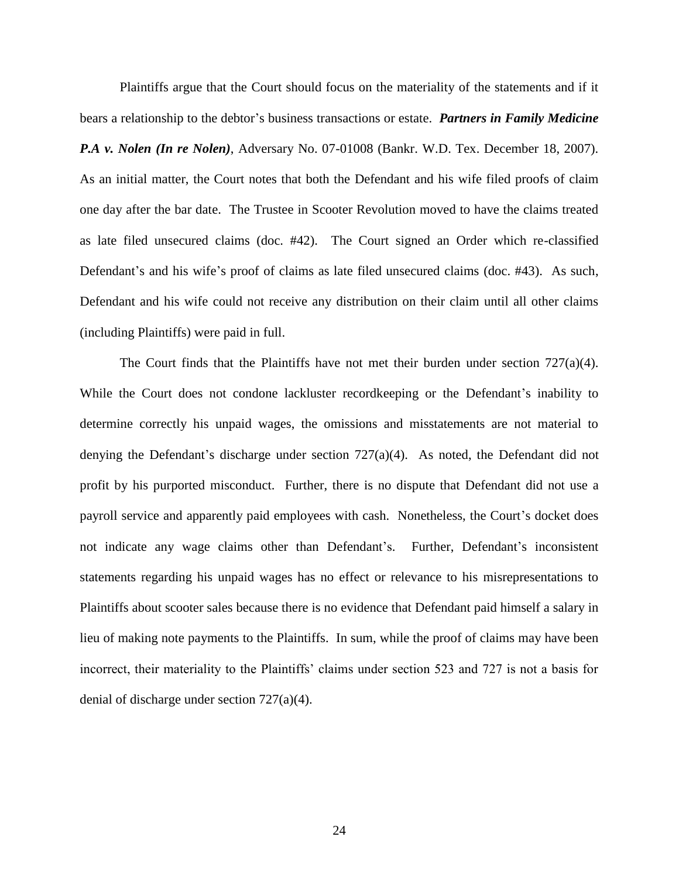Plaintiffs argue that the Court should focus on the materiality of the statements and if it bears a relationship to the debtor's business transactions or estate. *Partners in Family Medicine P.A v. Nolen (In re Nolen)*, Adversary No. 07-01008 (Bankr. W.D. Tex. December 18, 2007). As an initial matter, the Court notes that both the Defendant and his wife filed proofs of claim one day after the bar date. The Trustee in Scooter Revolution moved to have the claims treated as late filed unsecured claims (doc. #42). The Court signed an Order which re-classified Defendant's and his wife's proof of claims as late filed unsecured claims (doc. #43). As such, Defendant and his wife could not receive any distribution on their claim until all other claims (including Plaintiffs) were paid in full.

The Court finds that the Plaintiffs have not met their burden under section  $727(a)(4)$ . While the Court does not condone lackluster recordkeeping or the Defendant's inability to determine correctly his unpaid wages, the omissions and misstatements are not material to denying the Defendant's discharge under section 727(a)(4). As noted, the Defendant did not profit by his purported misconduct. Further, there is no dispute that Defendant did not use a payroll service and apparently paid employees with cash. Nonetheless, the Court's docket does not indicate any wage claims other than Defendant's. Further, Defendant's inconsistent statements regarding his unpaid wages has no effect or relevance to his misrepresentations to Plaintiffs about scooter sales because there is no evidence that Defendant paid himself a salary in lieu of making note payments to the Plaintiffs. In sum, while the proof of claims may have been incorrect, their materiality to the Plaintiffs' claims under section 523 and 727 is not a basis for denial of discharge under section 727(a)(4).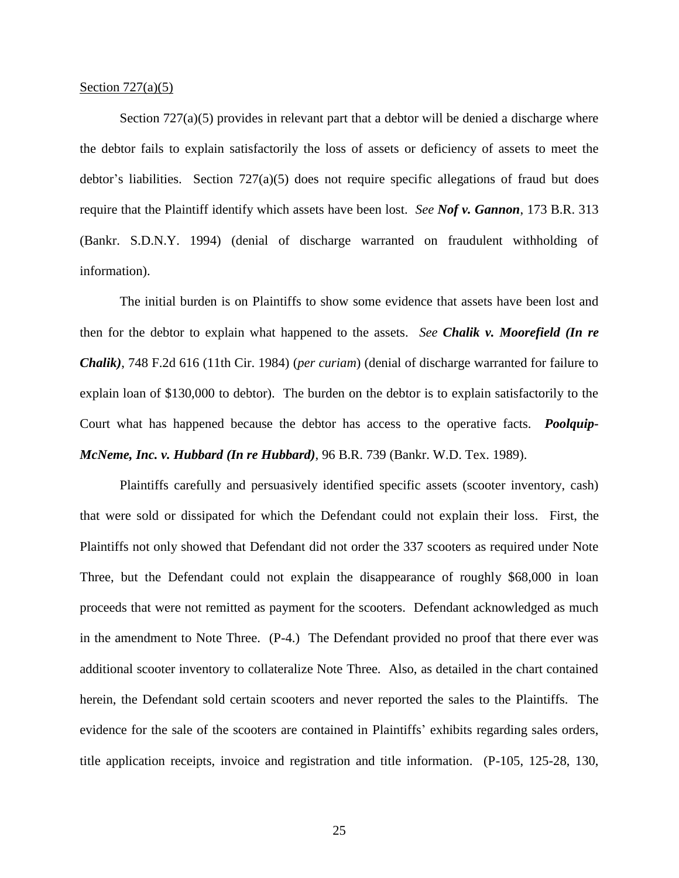#### Section  $727(a)(5)$

Section  $727(a)(5)$  provides in relevant part that a debtor will be denied a discharge where the debtor fails to explain satisfactorily the loss of assets or deficiency of assets to meet the debtor's liabilities. Section  $727(a)(5)$  does not require specific allegations of fraud but does require that the Plaintiff identify which assets have been lost. *See Nof v. Gannon*, 173 B.R. 313 (Bankr. S.D.N.Y. 1994) (denial of discharge warranted on fraudulent withholding of information).

The initial burden is on Plaintiffs to show some evidence that assets have been lost and then for the debtor to explain what happened to the assets. *See Chalik v. Moorefield (In re Chalik)*, 748 F.2d 616 (11th Cir. 1984) (*per curiam*) (denial of discharge warranted for failure to explain loan of \$130,000 to debtor). The burden on the debtor is to explain satisfactorily to the Court what has happened because the debtor has access to the operative facts. *Poolquip-McNeme, Inc. v. Hubbard (In re Hubbard)*, 96 B.R. 739 (Bankr. W.D. Tex. 1989).

Plaintiffs carefully and persuasively identified specific assets (scooter inventory, cash) that were sold or dissipated for which the Defendant could not explain their loss. First, the Plaintiffs not only showed that Defendant did not order the 337 scooters as required under Note Three, but the Defendant could not explain the disappearance of roughly \$68,000 in loan proceeds that were not remitted as payment for the scooters. Defendant acknowledged as much in the amendment to Note Three. (P-4.) The Defendant provided no proof that there ever was additional scooter inventory to collateralize Note Three. Also, as detailed in the chart contained herein, the Defendant sold certain scooters and never reported the sales to the Plaintiffs. The evidence for the sale of the scooters are contained in Plaintiffs' exhibits regarding sales orders, title application receipts, invoice and registration and title information. (P-105, 125-28, 130,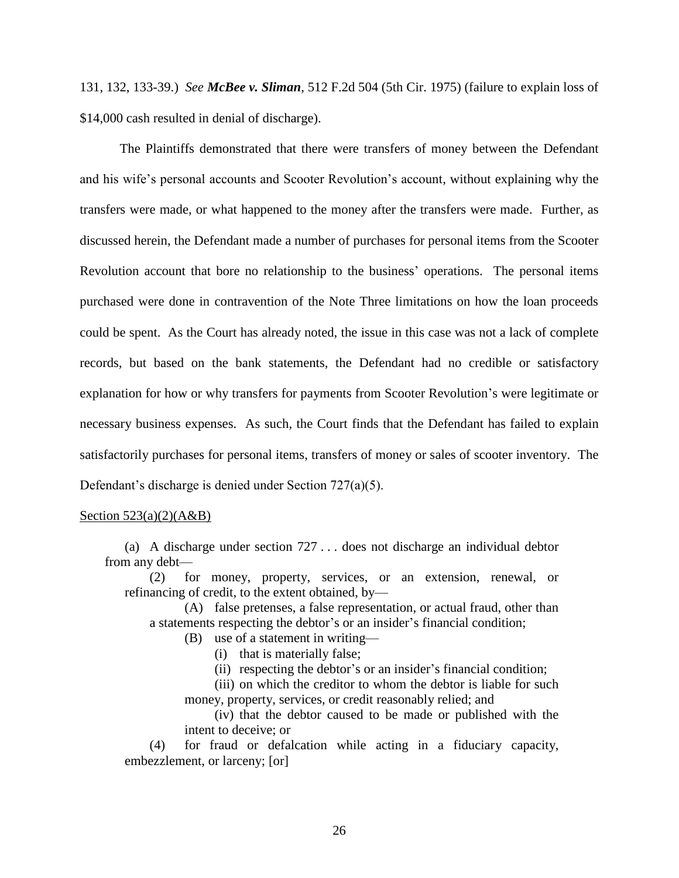131, 132, 133-39.) *See McBee v. Sliman*, 512 F.2d 504 (5th Cir. 1975) (failure to explain loss of \$14,000 cash resulted in denial of discharge).

The Plaintiffs demonstrated that there were transfers of money between the Defendant and his wife's personal accounts and Scooter Revolution's account, without explaining why the transfers were made, or what happened to the money after the transfers were made. Further, as discussed herein, the Defendant made a number of purchases for personal items from the Scooter Revolution account that bore no relationship to the business' operations. The personal items purchased were done in contravention of the Note Three limitations on how the loan proceeds could be spent. As the Court has already noted, the issue in this case was not a lack of complete records, but based on the bank statements, the Defendant had no credible or satisfactory explanation for how or why transfers for payments from Scooter Revolution's were legitimate or necessary business expenses. As such, the Court finds that the Defendant has failed to explain satisfactorily purchases for personal items, transfers of money or sales of scooter inventory. The Defendant's discharge is denied under Section 727(a)(5).

### Section  $523(a)(2)(A&B)$

(a) A discharge under section 727 . . . does not discharge an individual debtor from any debt—

(2) for money, property, services, or an extension, renewal, or refinancing of credit, to the extent obtained, by—

(A) false pretenses, a false representation, or actual fraud, other than a statements respecting the debtor's or an insider's financial condition;

- (B) use of a statement in writing—
	- (i) that is materially false;
	- (ii) respecting the debtor's or an insider's financial condition;

(iii) on which the creditor to whom the debtor is liable for such money, property, services, or credit reasonably relied; and

(iv) that the debtor caused to be made or published with the intent to deceive; or

(4) for fraud or defalcation while acting in a fiduciary capacity, embezzlement, or larceny; [or]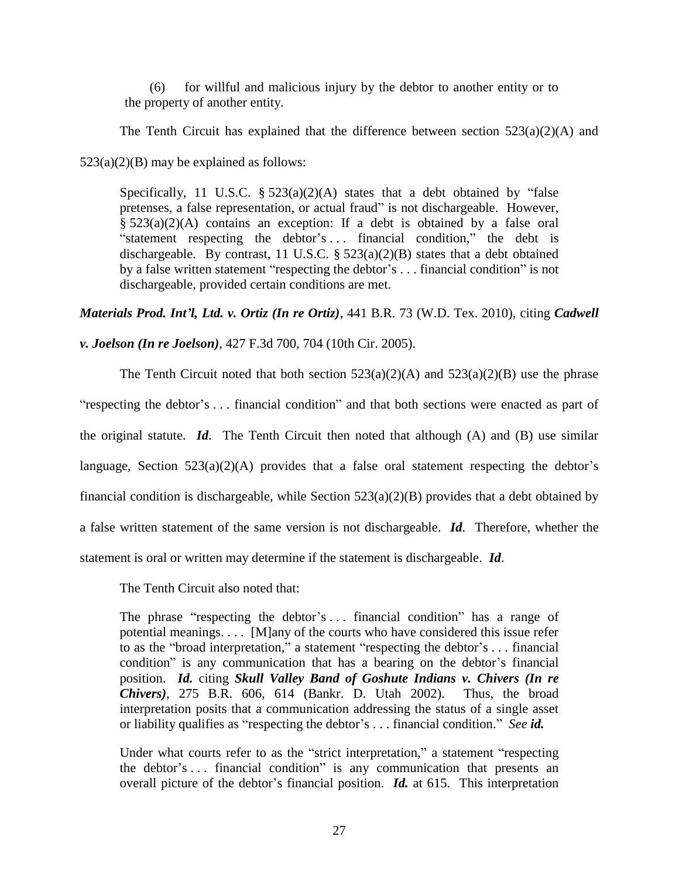(6) for willful and malicious injury by the debtor to another entity or to the property of another entity.

The Tenth Circuit has explained that the difference between section  $523(a)(2)(A)$  and

 $523(a)(2)(B)$  may be explained as follows:

Specifically, 11 U.S.C.  $\S 523(a)(2)(A)$  states that a debt obtained by "false pretenses, a false representation, or actual fraud" is not dischargeable. However, § 523(a)(2)(A) contains an exception: If a debt is obtained by a false oral "statement respecting the debtor's ... financial condition," the debt is dischargeable. By contrast, 11 U.S.C.  $\S$  523(a)(2)(B) states that a debt obtained by a false written statement "respecting the debtor's ... financial condition" is not dischargeable, provided certain conditions are met.

*Materials Prod. Int'l, Ltd. v. Ortiz (In re Ortiz)*, 441 B.R. 73 (W.D. Tex. 2010), citing *Cadwell* 

*v. Joelson (In re Joelson)*, 427 F.3d 700, 704 (10th Cir. 2005).

The Tenth Circuit noted that both section  $523(a)(2)(A)$  and  $523(a)(2)(B)$  use the phrase "respecting the debtor's ... financial condition" and that both sections were enacted as part of the original statute. *Id*. The Tenth Circuit then noted that although (A) and (B) use similar language, Section  $523(a)(2)(A)$  provides that a false oral statement respecting the debtor's financial condition is dischargeable, while Section 523(a)(2)(B) provides that a debt obtained by a false written statement of the same version is not dischargeable. *Id*. Therefore, whether the statement is oral or written may determine if the statement is dischargeable. *Id*.

The Tenth Circuit also noted that:

The phrase "respecting the debtor's  $\ldots$  financial condition" has a range of potential meanings. . . . [M]any of the courts who have considered this issue refer to as the "broad interpretation," a statement "respecting the debtor's . . . financial condition" is any communication that has a bearing on the debtor's financial position. *Id.* citing *Skull Valley Band of Goshute Indians v. Chivers (In re Chivers)*, 275 B.R. 606, 614 (Bankr. D. Utah 2002). Thus, the broad interpretation posits that a communication addressing the status of a single asset or liability qualifies as "respecting the debtor's . . . financial condition." *See id.* 

Under what courts refer to as the "strict interpretation," a statement "respecting the debtor's  $\dots$  financial condition" is any communication that presents an overall picture of the debtor's financial position. *Id.* at 615. This interpretation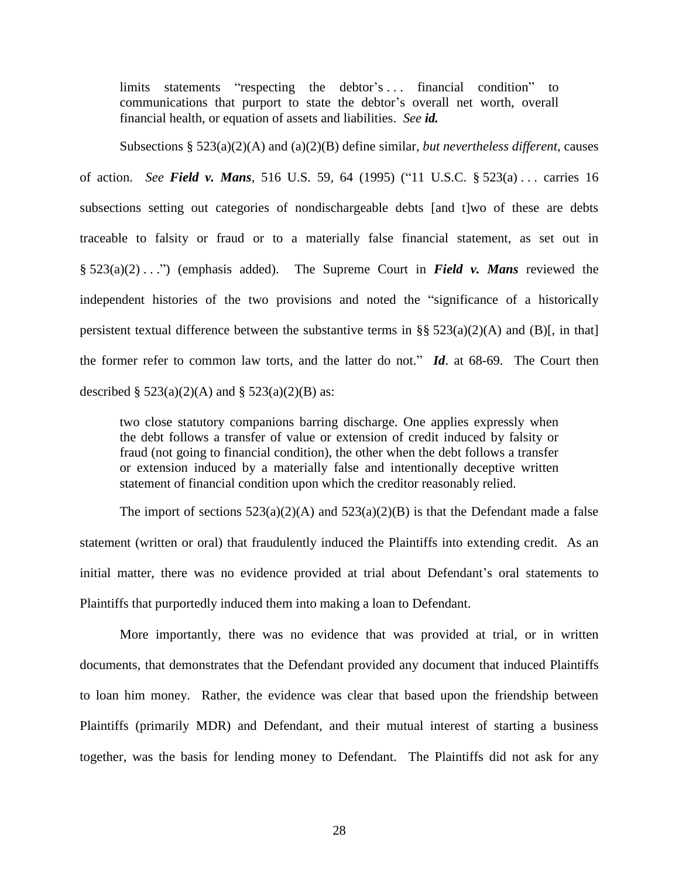limits statements "respecting the debtor's ... financial condition" to communications that purport to state the debtor's overall net worth, overall financial health, or equation of assets and liabilities. *See id.*

Subsections § 523(a)(2)(A) and (a)(2)(B) define similar, *but nevertheless different*, causes of action. *See Field v. Mans*, 516 U.S. 59, 64 (1995) ("11 U.S.C. § 523(a) . . . carries 16 subsections setting out categories of nondischargeable debts [and t]wo of these are debts traceable to falsity or fraud or to a materially false financial statement, as set out in  $\S 523(a)(2) \ldots$ " (emphasis added). The Supreme Court in *Field v. Mans* reviewed the independent histories of the two provisions and noted the "significance of a historically persistent textual difference between the substantive terms in §§  $523(a)(2)(A)$  and (B)[, in that] the former refer to common law torts, and the latter do not."  $Id$  at 68-69. The Court then described  $\S 523(a)(2)(A)$  and  $\S 523(a)(2)(B)$  as:

two close statutory companions barring discharge. One applies expressly when the debt follows a transfer of value or extension of credit induced by falsity or fraud (not going to financial condition), the other when the debt follows a transfer or extension induced by a materially false and intentionally deceptive written statement of financial condition upon which the creditor reasonably relied.

The import of sections  $523(a)(2)(A)$  and  $523(a)(2)(B)$  is that the Defendant made a false statement (written or oral) that fraudulently induced the Plaintiffs into extending credit. As an initial matter, there was no evidence provided at trial about Defendant's oral statements to Plaintiffs that purportedly induced them into making a loan to Defendant.

More importantly, there was no evidence that was provided at trial, or in written documents, that demonstrates that the Defendant provided any document that induced Plaintiffs to loan him money. Rather, the evidence was clear that based upon the friendship between Plaintiffs (primarily MDR) and Defendant, and their mutual interest of starting a business together, was the basis for lending money to Defendant. The Plaintiffs did not ask for any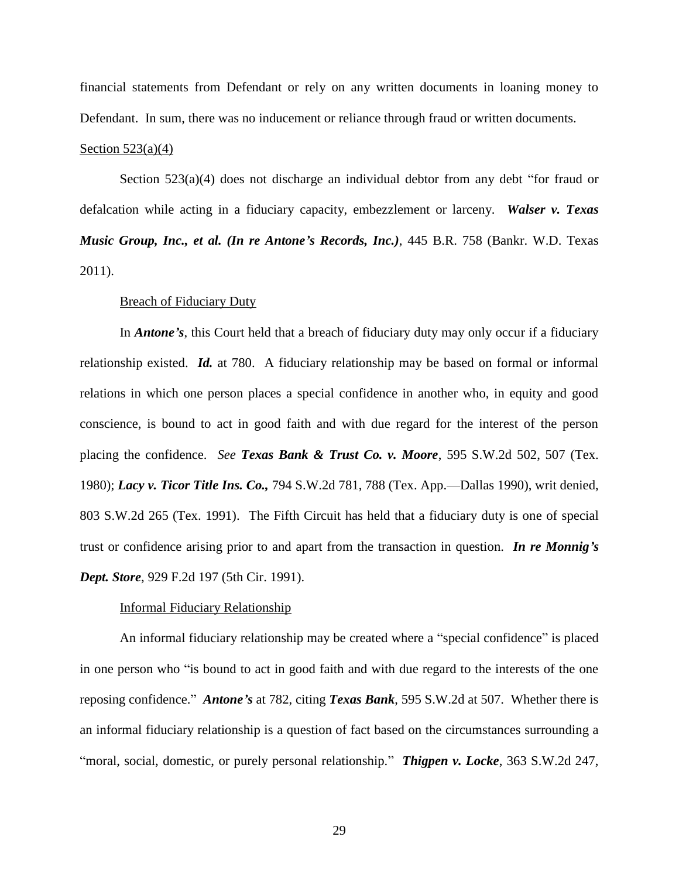financial statements from Defendant or rely on any written documents in loaning money to Defendant. In sum, there was no inducement or reliance through fraud or written documents.

## Section  $523(a)(4)$

Section  $523(a)(4)$  does not discharge an individual debtor from any debt "for fraud or defalcation while acting in a fiduciary capacity, embezzlement or larceny. *Walser v. Texas Music Group, Inc., et al. (In re Antone's Records, Inc.)*, 445 B.R. 758 (Bankr. W.D. Texas 2011).

## Breach of Fiduciary Duty

In *Antone's*, this Court held that a breach of fiduciary duty may only occur if a fiduciary relationship existed. *Id.* at 780. A fiduciary relationship may be based on formal or informal relations in which one person places a special confidence in another who, in equity and good conscience, is bound to act in good faith and with due regard for the interest of the person placing the confidence. *See Texas Bank & Trust Co. v. Moore*, 595 S.W.2d 502, 507 (Tex. 1980); *Lacy v. Ticor Title Ins. Co.,* 794 S.W.2d 781, 788 (Tex. App.—Dallas 1990), writ denied, 803 S.W.2d 265 (Tex. 1991). The Fifth Circuit has held that a fiduciary duty is one of special trust or confidence arising prior to and apart from the transaction in question. *In re Monnig's Dept. Store*, 929 F.2d 197 (5th Cir. 1991).

### Informal Fiduciary Relationship

An informal fiduciary relationship may be created where a "special confidence" is placed in one person who "is bound to act in good faith and with due regard to the interests of the one reposing confidence.‖ *Antone's* at 782, citing *Texas Bank*, 595 S.W.2d at 507. Whether there is an informal fiduciary relationship is a question of fact based on the circumstances surrounding a "moral, social, domestic, or purely personal relationship." *Thigpen v. Locke*, 363 S.W.2d 247,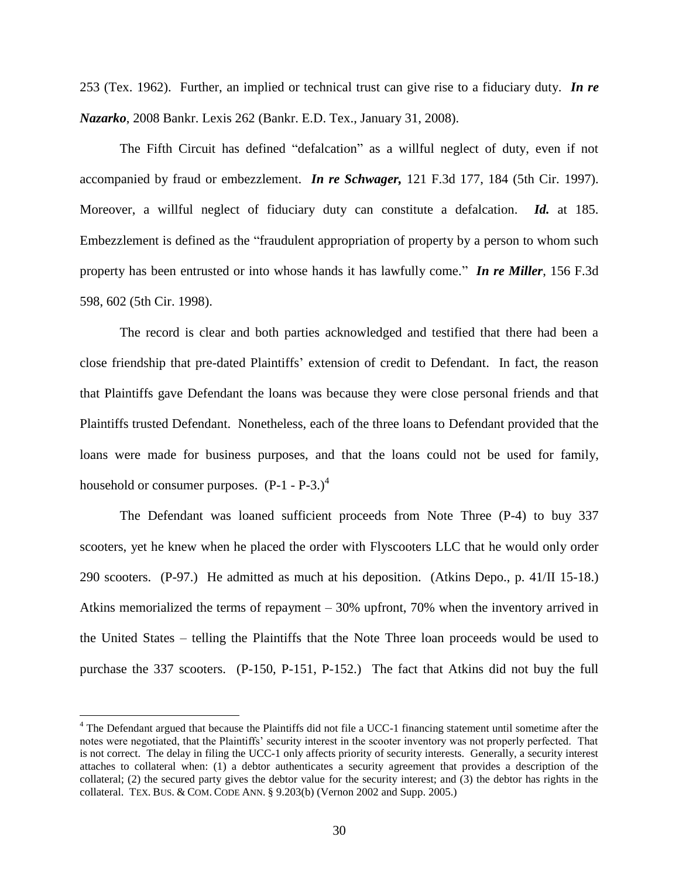253 (Tex. 1962). Further, an implied or technical trust can give rise to a fiduciary duty. *In re Nazarko*, 2008 Bankr. Lexis 262 (Bankr. E.D. Tex., January 31, 2008).

The Fifth Circuit has defined "defalcation" as a willful neglect of duty, even if not accompanied by fraud or embezzlement. *In re Schwager,* 121 F.3d 177, 184 (5th Cir. 1997). Moreover, a willful neglect of fiduciary duty can constitute a defalcation. *Id.* at 185. Embezzlement is defined as the "fraudulent appropriation of property by a person to whom such property has been entrusted or into whose hands it has lawfully come." **In re Miller**, 156 F.3d 598, 602 (5th Cir. 1998).

The record is clear and both parties acknowledged and testified that there had been a close friendship that pre-dated Plaintiffs' extension of credit to Defendant. In fact, the reason that Plaintiffs gave Defendant the loans was because they were close personal friends and that Plaintiffs trusted Defendant. Nonetheless, each of the three loans to Defendant provided that the loans were made for business purposes, and that the loans could not be used for family, household or consumer purposes.  $(P-1 - P-3)^4$ 

The Defendant was loaned sufficient proceeds from Note Three (P-4) to buy 337 scooters, yet he knew when he placed the order with Flyscooters LLC that he would only order 290 scooters. (P-97.) He admitted as much at his deposition. (Atkins Depo., p. 41/II 15-18.) Atkins memorialized the terms of repayment – 30% upfront, 70% when the inventory arrived in the United States – telling the Plaintiffs that the Note Three loan proceeds would be used to purchase the 337 scooters. (P-150, P-151, P-152.) The fact that Atkins did not buy the full

 $\overline{a}$ 

<sup>&</sup>lt;sup>4</sup> The Defendant argued that because the Plaintiffs did not file a UCC-1 financing statement until sometime after the notes were negotiated, that the Plaintiffs' security interest in the scooter inventory was not properly perfected. That is not correct. The delay in filing the UCC-1 only affects priority of security interests. Generally, a security interest attaches to collateral when: (1) a debtor authenticates a security agreement that provides a description of the collateral; (2) the secured party gives the debtor value for the security interest; and (3) the debtor has rights in the collateral. TEX. BUS. & COM. CODE ANN. § 9.203(b) (Vernon 2002 and Supp. 2005.)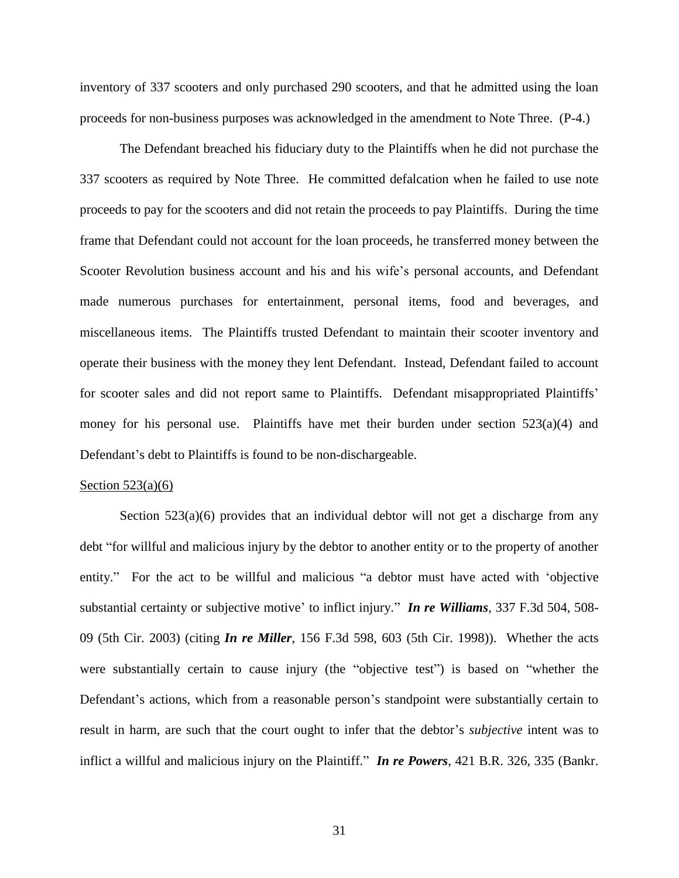inventory of 337 scooters and only purchased 290 scooters, and that he admitted using the loan proceeds for non-business purposes was acknowledged in the amendment to Note Three. (P-4.)

The Defendant breached his fiduciary duty to the Plaintiffs when he did not purchase the 337 scooters as required by Note Three. He committed defalcation when he failed to use note proceeds to pay for the scooters and did not retain the proceeds to pay Plaintiffs. During the time frame that Defendant could not account for the loan proceeds, he transferred money between the Scooter Revolution business account and his and his wife's personal accounts, and Defendant made numerous purchases for entertainment, personal items, food and beverages, and miscellaneous items. The Plaintiffs trusted Defendant to maintain their scooter inventory and operate their business with the money they lent Defendant. Instead, Defendant failed to account for scooter sales and did not report same to Plaintiffs. Defendant misappropriated Plaintiffs' money for his personal use. Plaintiffs have met their burden under section  $523(a)(4)$  and Defendant's debt to Plaintiffs is found to be non-dischargeable.

#### Section  $523(a)(6)$

Section  $523(a)(6)$  provides that an individual debtor will not get a discharge from any debt "for willful and malicious injury by the debtor to another entity or to the property of another entity." For the act to be willful and malicious "a debtor must have acted with 'objective substantial certainty or subjective motive' to inflict injury." *In re Williams*, 337 F.3d 504, 508-09 (5th Cir. 2003) (citing *In re Miller*, 156 F.3d 598, 603 (5th Cir. 1998)). Whether the acts were substantially certain to cause injury (the "objective test") is based on "whether the Defendant's actions, which from a reasonable person's standpoint were substantially certain to result in harm, are such that the court ought to infer that the debtor's *subjective* intent was to inflict a willful and malicious injury on the Plaintiff." *In re Powers*, 421 B.R. 326, 335 (Bankr.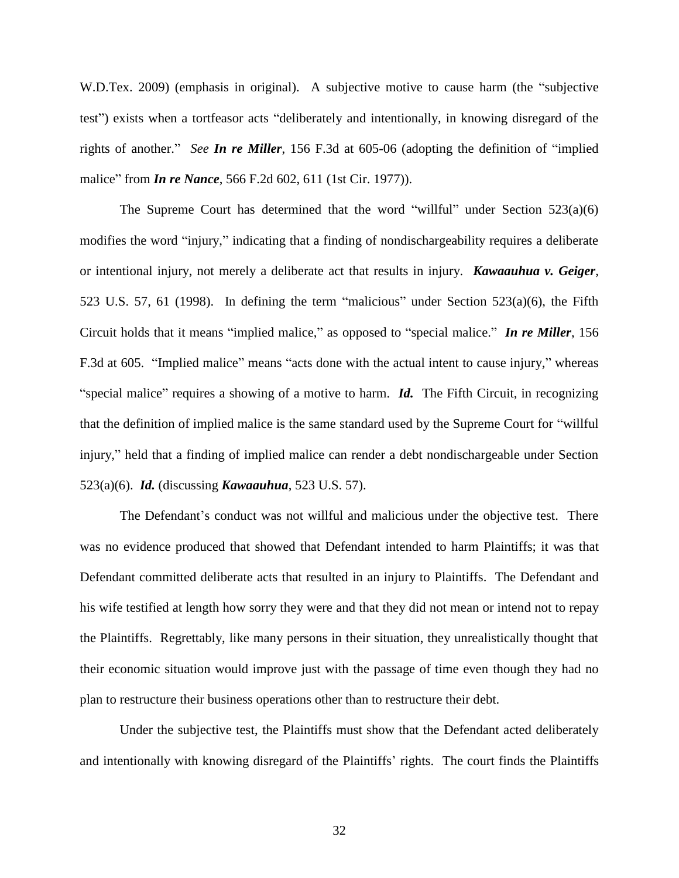W.D.Tex. 2009) (emphasis in original). A subjective motive to cause harm (the "subjective test") exists when a tortfeasor acts "deliberately and intentionally, in knowing disregard of the rights of another." *See In re Miller*, 156 F.3d at 605-06 (adopting the definition of "implied" malice" from *In re Nance*, 566 F.2d 602, 611 (1st Cir. 1977)).

The Supreme Court has determined that the word "willful" under Section  $523(a)(6)$ modifies the word "injury," indicating that a finding of nondischargeability requires a deliberate or intentional injury, not merely a deliberate act that results in injury. *Kawaauhua v. Geiger*, 523 U.S. 57, 61 (1998). In defining the term "malicious" under Section  $523(a)(6)$ , the Fifth Circuit holds that it means "implied malice," as opposed to "special malice." *In re Miller*, 156 F.3d at 605. "Implied malice" means "acts done with the actual intent to cause injury," whereas "special malice" requires a showing of a motive to harm. *Id.* The Fifth Circuit, in recognizing that the definition of implied malice is the same standard used by the Supreme Court for "willful" injury," held that a finding of implied malice can render a debt nondischargeable under Section 523(a)(6). *Id.* (discussing *Kawaauhua*, 523 U.S. 57).

The Defendant's conduct was not willful and malicious under the objective test. There was no evidence produced that showed that Defendant intended to harm Plaintiffs; it was that Defendant committed deliberate acts that resulted in an injury to Plaintiffs. The Defendant and his wife testified at length how sorry they were and that they did not mean or intend not to repay the Plaintiffs. Regrettably, like many persons in their situation, they unrealistically thought that their economic situation would improve just with the passage of time even though they had no plan to restructure their business operations other than to restructure their debt.

Under the subjective test, the Plaintiffs must show that the Defendant acted deliberately and intentionally with knowing disregard of the Plaintiffs' rights. The court finds the Plaintiffs